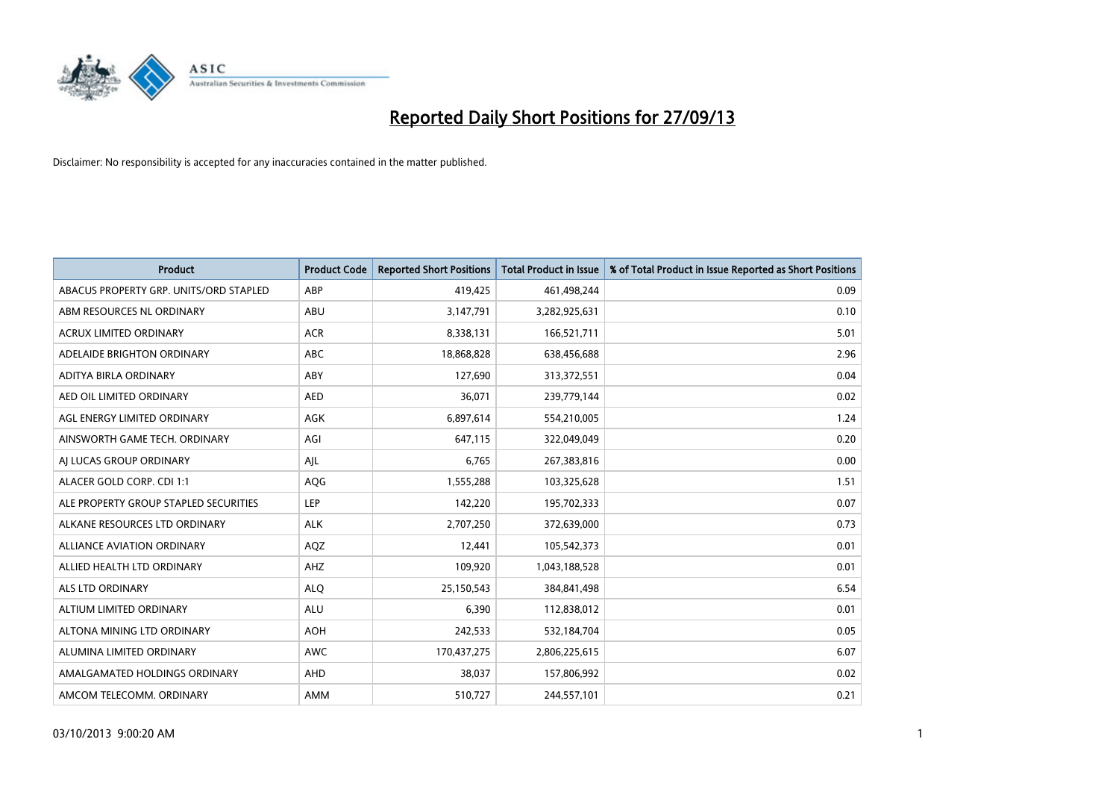

| Product                                | <b>Product Code</b> | <b>Reported Short Positions</b> | Total Product in Issue | % of Total Product in Issue Reported as Short Positions |
|----------------------------------------|---------------------|---------------------------------|------------------------|---------------------------------------------------------|
| ABACUS PROPERTY GRP. UNITS/ORD STAPLED | ABP                 | 419,425                         | 461,498,244            | 0.09                                                    |
| ABM RESOURCES NL ORDINARY              | ABU                 | 3,147,791                       | 3,282,925,631          | 0.10                                                    |
| <b>ACRUX LIMITED ORDINARY</b>          | <b>ACR</b>          | 8,338,131                       | 166,521,711            | 5.01                                                    |
| ADELAIDE BRIGHTON ORDINARY             | <b>ABC</b>          | 18,868,828                      | 638,456,688            | 2.96                                                    |
| ADITYA BIRLA ORDINARY                  | ABY                 | 127,690                         | 313,372,551            | 0.04                                                    |
| AED OIL LIMITED ORDINARY               | <b>AED</b>          | 36,071                          | 239,779,144            | 0.02                                                    |
| AGL ENERGY LIMITED ORDINARY            | AGK                 | 6,897,614                       | 554,210,005            | 1.24                                                    |
| AINSWORTH GAME TECH. ORDINARY          | AGI                 | 647,115                         | 322,049,049            | 0.20                                                    |
| AI LUCAS GROUP ORDINARY                | AJL                 | 6,765                           | 267,383,816            | 0.00                                                    |
| ALACER GOLD CORP. CDI 1:1              | AQG                 | 1,555,288                       | 103,325,628            | 1.51                                                    |
| ALE PROPERTY GROUP STAPLED SECURITIES  | <b>LEP</b>          | 142,220                         | 195,702,333            | 0.07                                                    |
| ALKANE RESOURCES LTD ORDINARY          | <b>ALK</b>          | 2,707,250                       | 372,639,000            | 0.73                                                    |
| ALLIANCE AVIATION ORDINARY             | AQZ                 | 12,441                          | 105,542,373            | 0.01                                                    |
| ALLIED HEALTH LTD ORDINARY             | AHZ                 | 109,920                         | 1,043,188,528          | 0.01                                                    |
| ALS LTD ORDINARY                       | <b>ALQ</b>          | 25,150,543                      | 384,841,498            | 6.54                                                    |
| ALTIUM LIMITED ORDINARY                | <b>ALU</b>          | 6,390                           | 112,838,012            | 0.01                                                    |
| ALTONA MINING LTD ORDINARY             | <b>AOH</b>          | 242,533                         | 532,184,704            | 0.05                                                    |
| ALUMINA LIMITED ORDINARY               | <b>AWC</b>          | 170,437,275                     | 2,806,225,615          | 6.07                                                    |
| AMALGAMATED HOLDINGS ORDINARY          | AHD                 | 38,037                          | 157,806,992            | 0.02                                                    |
| AMCOM TELECOMM. ORDINARY               | <b>AMM</b>          | 510,727                         | 244,557,101            | 0.21                                                    |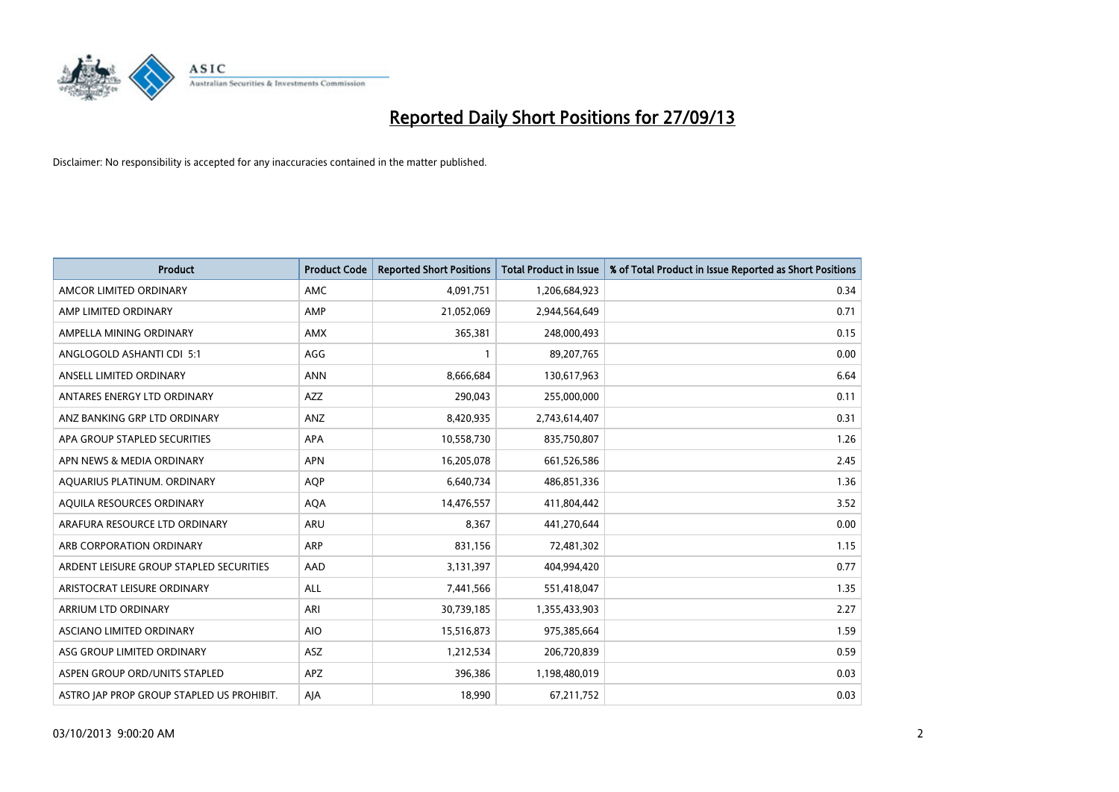

| <b>Product</b>                            | <b>Product Code</b> | <b>Reported Short Positions</b> | <b>Total Product in Issue</b> | % of Total Product in Issue Reported as Short Positions |
|-------------------------------------------|---------------------|---------------------------------|-------------------------------|---------------------------------------------------------|
| AMCOR LIMITED ORDINARY                    | AMC                 | 4,091,751                       | 1,206,684,923                 | 0.34                                                    |
| AMP LIMITED ORDINARY                      | AMP                 | 21,052,069                      | 2,944,564,649                 | 0.71                                                    |
| AMPELLA MINING ORDINARY                   | <b>AMX</b>          | 365,381                         | 248,000,493                   | 0.15                                                    |
| ANGLOGOLD ASHANTI CDI 5:1                 | AGG                 | 1                               | 89,207,765                    | 0.00                                                    |
| ANSELL LIMITED ORDINARY                   | <b>ANN</b>          | 8,666,684                       | 130,617,963                   | 6.64                                                    |
| ANTARES ENERGY LTD ORDINARY               | <b>AZZ</b>          | 290,043                         | 255,000,000                   | 0.11                                                    |
| ANZ BANKING GRP LTD ORDINARY              | ANZ                 | 8,420,935                       | 2,743,614,407                 | 0.31                                                    |
| APA GROUP STAPLED SECURITIES              | APA                 | 10,558,730                      | 835,750,807                   | 1.26                                                    |
| APN NEWS & MEDIA ORDINARY                 | <b>APN</b>          | 16,205,078                      | 661,526,586                   | 2.45                                                    |
| AQUARIUS PLATINUM. ORDINARY               | <b>AOP</b>          | 6,640,734                       | 486,851,336                   | 1.36                                                    |
| AQUILA RESOURCES ORDINARY                 | <b>AQA</b>          | 14,476,557                      | 411,804,442                   | 3.52                                                    |
| ARAFURA RESOURCE LTD ORDINARY             | ARU                 | 8,367                           | 441,270,644                   | 0.00                                                    |
| ARB CORPORATION ORDINARY                  | ARP                 | 831,156                         | 72,481,302                    | 1.15                                                    |
| ARDENT LEISURE GROUP STAPLED SECURITIES   | AAD                 | 3,131,397                       | 404,994,420                   | 0.77                                                    |
| ARISTOCRAT LEISURE ORDINARY               | ALL                 | 7,441,566                       | 551,418,047                   | 1.35                                                    |
| ARRIUM LTD ORDINARY                       | ARI                 | 30,739,185                      | 1,355,433,903                 | 2.27                                                    |
| ASCIANO LIMITED ORDINARY                  | <b>AIO</b>          | 15,516,873                      | 975,385,664                   | 1.59                                                    |
| ASG GROUP LIMITED ORDINARY                | ASZ                 | 1,212,534                       | 206,720,839                   | 0.59                                                    |
| ASPEN GROUP ORD/UNITS STAPLED             | APZ                 | 396,386                         | 1,198,480,019                 | 0.03                                                    |
| ASTRO JAP PROP GROUP STAPLED US PROHIBIT. | AJA                 | 18,990                          | 67,211,752                    | 0.03                                                    |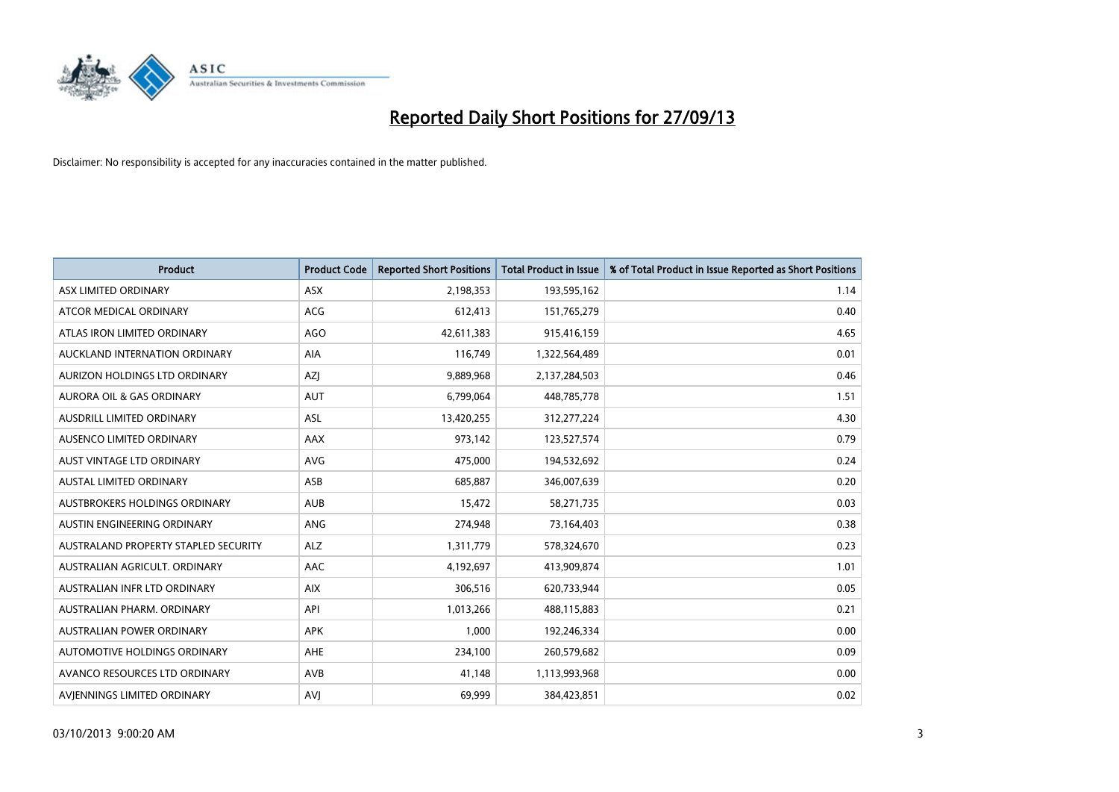

| <b>Product</b>                       | <b>Product Code</b> | <b>Reported Short Positions</b> | <b>Total Product in Issue</b> | % of Total Product in Issue Reported as Short Positions |
|--------------------------------------|---------------------|---------------------------------|-------------------------------|---------------------------------------------------------|
| ASX LIMITED ORDINARY                 | <b>ASX</b>          | 2,198,353                       | 193,595,162                   | 1.14                                                    |
| ATCOR MEDICAL ORDINARY               | ACG                 | 612,413                         | 151,765,279                   | 0.40                                                    |
| ATLAS IRON LIMITED ORDINARY          | <b>AGO</b>          | 42,611,383                      | 915,416,159                   | 4.65                                                    |
| AUCKLAND INTERNATION ORDINARY        | AIA                 | 116,749                         | 1,322,564,489                 | 0.01                                                    |
| AURIZON HOLDINGS LTD ORDINARY        | <b>AZI</b>          | 9,889,968                       | 2,137,284,503                 | 0.46                                                    |
| <b>AURORA OIL &amp; GAS ORDINARY</b> | <b>AUT</b>          | 6,799,064                       | 448,785,778                   | 1.51                                                    |
| <b>AUSDRILL LIMITED ORDINARY</b>     | <b>ASL</b>          | 13,420,255                      | 312,277,224                   | 4.30                                                    |
| AUSENCO LIMITED ORDINARY             | AAX                 | 973,142                         | 123,527,574                   | 0.79                                                    |
| AUST VINTAGE LTD ORDINARY            | <b>AVG</b>          | 475,000                         | 194,532,692                   | 0.24                                                    |
| <b>AUSTAL LIMITED ORDINARY</b>       | ASB                 | 685,887                         | 346,007,639                   | 0.20                                                    |
| AUSTBROKERS HOLDINGS ORDINARY        | <b>AUB</b>          | 15,472                          | 58,271,735                    | 0.03                                                    |
| AUSTIN ENGINEERING ORDINARY          | <b>ANG</b>          | 274,948                         | 73,164,403                    | 0.38                                                    |
| AUSTRALAND PROPERTY STAPLED SECURITY | <b>ALZ</b>          | 1,311,779                       | 578,324,670                   | 0.23                                                    |
| AUSTRALIAN AGRICULT, ORDINARY        | AAC                 | 4,192,697                       | 413,909,874                   | 1.01                                                    |
| AUSTRALIAN INFR LTD ORDINARY         | <b>AIX</b>          | 306,516                         | 620,733,944                   | 0.05                                                    |
| AUSTRALIAN PHARM. ORDINARY           | API                 | 1,013,266                       | 488,115,883                   | 0.21                                                    |
| AUSTRALIAN POWER ORDINARY            | <b>APK</b>          | 1,000                           | 192,246,334                   | 0.00                                                    |
| AUTOMOTIVE HOLDINGS ORDINARY         | <b>AHE</b>          | 234,100                         | 260,579,682                   | 0.09                                                    |
| AVANCO RESOURCES LTD ORDINARY        | AVB                 | 41,148                          | 1,113,993,968                 | 0.00                                                    |
| AVIENNINGS LIMITED ORDINARY          | <b>AVJ</b>          | 69,999                          | 384,423,851                   | 0.02                                                    |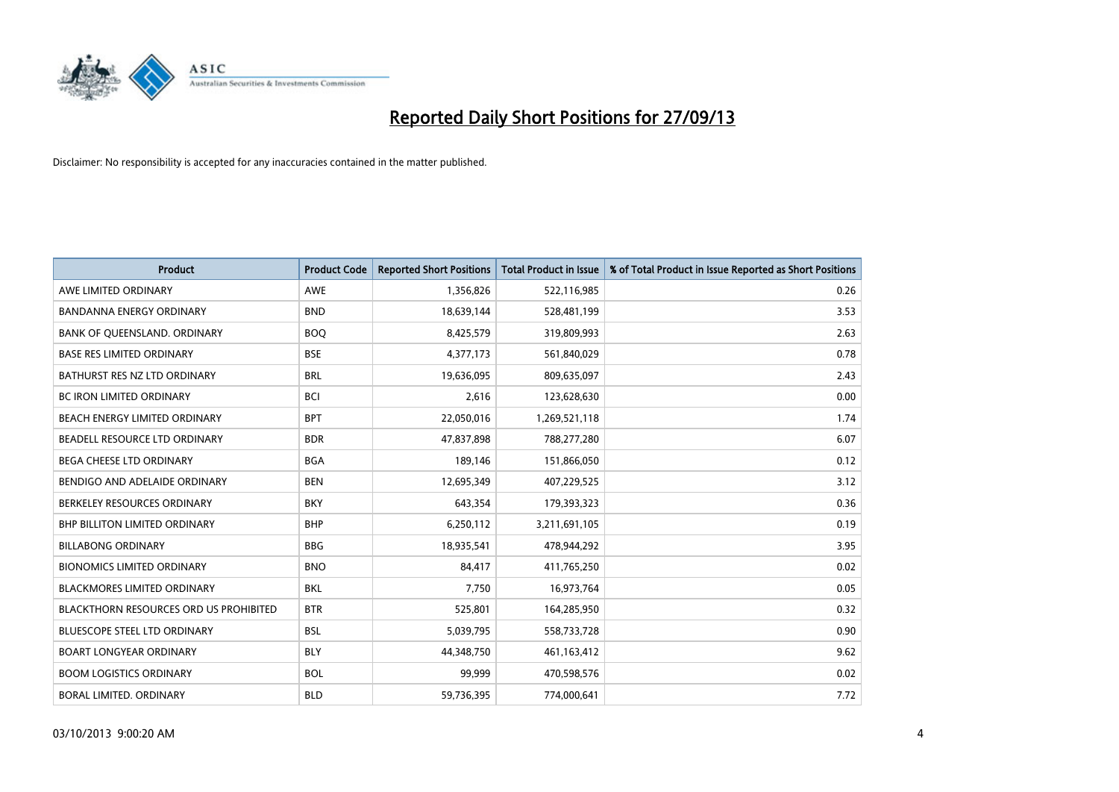

| <b>Product</b>                                | <b>Product Code</b> | <b>Reported Short Positions</b> | <b>Total Product in Issue</b> | % of Total Product in Issue Reported as Short Positions |
|-----------------------------------------------|---------------------|---------------------------------|-------------------------------|---------------------------------------------------------|
| AWE LIMITED ORDINARY                          | <b>AWE</b>          | 1,356,826                       | 522,116,985                   | 0.26                                                    |
| <b>BANDANNA ENERGY ORDINARY</b>               | <b>BND</b>          | 18,639,144                      | 528,481,199                   | 3.53                                                    |
| BANK OF QUEENSLAND. ORDINARY                  | <b>BOQ</b>          | 8,425,579                       | 319,809,993                   | 2.63                                                    |
| <b>BASE RES LIMITED ORDINARY</b>              | <b>BSE</b>          | 4,377,173                       | 561,840,029                   | 0.78                                                    |
| BATHURST RES NZ LTD ORDINARY                  | <b>BRL</b>          | 19,636,095                      | 809,635,097                   | 2.43                                                    |
| <b>BC IRON LIMITED ORDINARY</b>               | <b>BCI</b>          | 2,616                           | 123,628,630                   | 0.00                                                    |
| BEACH ENERGY LIMITED ORDINARY                 | <b>BPT</b>          | 22,050,016                      | 1,269,521,118                 | 1.74                                                    |
| BEADELL RESOURCE LTD ORDINARY                 | <b>BDR</b>          | 47,837,898                      | 788,277,280                   | 6.07                                                    |
| BEGA CHEESE LTD ORDINARY                      | <b>BGA</b>          | 189,146                         | 151,866,050                   | 0.12                                                    |
| BENDIGO AND ADELAIDE ORDINARY                 | <b>BEN</b>          | 12,695,349                      | 407,229,525                   | 3.12                                                    |
| BERKELEY RESOURCES ORDINARY                   | <b>BKY</b>          | 643,354                         | 179,393,323                   | 0.36                                                    |
| <b>BHP BILLITON LIMITED ORDINARY</b>          | <b>BHP</b>          | 6,250,112                       | 3,211,691,105                 | 0.19                                                    |
| <b>BILLABONG ORDINARY</b>                     | <b>BBG</b>          | 18,935,541                      | 478,944,292                   | 3.95                                                    |
| <b>BIONOMICS LIMITED ORDINARY</b>             | <b>BNO</b>          | 84,417                          | 411,765,250                   | 0.02                                                    |
| BLACKMORES LIMITED ORDINARY                   | <b>BKL</b>          | 7,750                           | 16,973,764                    | 0.05                                                    |
| <b>BLACKTHORN RESOURCES ORD US PROHIBITED</b> | <b>BTR</b>          | 525,801                         | 164,285,950                   | 0.32                                                    |
| <b>BLUESCOPE STEEL LTD ORDINARY</b>           | <b>BSL</b>          | 5,039,795                       | 558,733,728                   | 0.90                                                    |
| BOART LONGYEAR ORDINARY                       | <b>BLY</b>          | 44,348,750                      | 461,163,412                   | 9.62                                                    |
| <b>BOOM LOGISTICS ORDINARY</b>                | <b>BOL</b>          | 99,999                          | 470,598,576                   | 0.02                                                    |
| BORAL LIMITED, ORDINARY                       | <b>BLD</b>          | 59,736,395                      | 774,000,641                   | 7.72                                                    |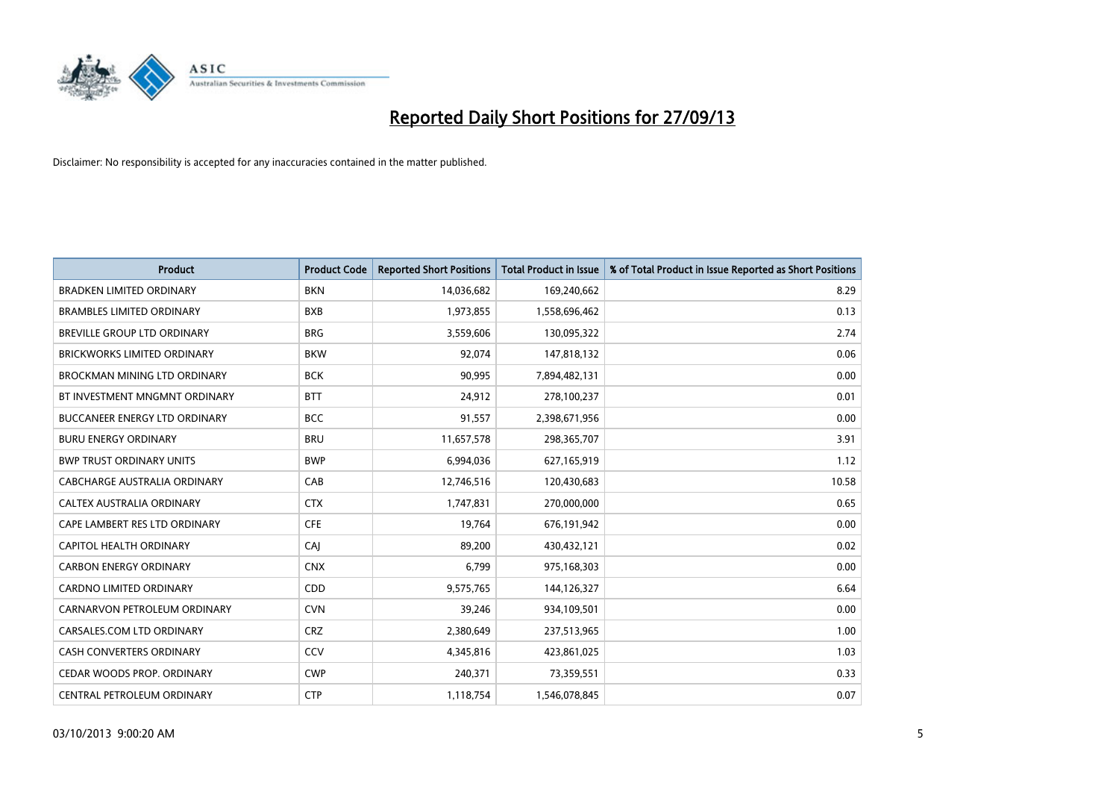

| <b>Product</b>                       | <b>Product Code</b> | <b>Reported Short Positions</b> | <b>Total Product in Issue</b> | % of Total Product in Issue Reported as Short Positions |
|--------------------------------------|---------------------|---------------------------------|-------------------------------|---------------------------------------------------------|
| <b>BRADKEN LIMITED ORDINARY</b>      | <b>BKN</b>          | 14,036,682                      | 169,240,662                   | 8.29                                                    |
| <b>BRAMBLES LIMITED ORDINARY</b>     | <b>BXB</b>          | 1,973,855                       | 1,558,696,462                 | 0.13                                                    |
| <b>BREVILLE GROUP LTD ORDINARY</b>   | <b>BRG</b>          | 3,559,606                       | 130,095,322                   | 2.74                                                    |
| BRICKWORKS LIMITED ORDINARY          | <b>BKW</b>          | 92,074                          | 147,818,132                   | 0.06                                                    |
| BROCKMAN MINING LTD ORDINARY         | <b>BCK</b>          | 90,995                          | 7,894,482,131                 | 0.00                                                    |
| BT INVESTMENT MNGMNT ORDINARY        | <b>BTT</b>          | 24,912                          | 278,100,237                   | 0.01                                                    |
| <b>BUCCANEER ENERGY LTD ORDINARY</b> | <b>BCC</b>          | 91,557                          | 2,398,671,956                 | 0.00                                                    |
| <b>BURU ENERGY ORDINARY</b>          | <b>BRU</b>          | 11,657,578                      | 298,365,707                   | 3.91                                                    |
| <b>BWP TRUST ORDINARY UNITS</b>      | <b>BWP</b>          | 6,994,036                       | 627,165,919                   | 1.12                                                    |
| CABCHARGE AUSTRALIA ORDINARY         | CAB                 | 12,746,516                      | 120,430,683                   | 10.58                                                   |
| CALTEX AUSTRALIA ORDINARY            | <b>CTX</b>          | 1,747,831                       | 270,000,000                   | 0.65                                                    |
| CAPE LAMBERT RES LTD ORDINARY        | <b>CFE</b>          | 19,764                          | 676,191,942                   | 0.00                                                    |
| CAPITOL HEALTH ORDINARY              | CAI                 | 89,200                          | 430,432,121                   | 0.02                                                    |
| <b>CARBON ENERGY ORDINARY</b>        | <b>CNX</b>          | 6,799                           | 975,168,303                   | 0.00                                                    |
| <b>CARDNO LIMITED ORDINARY</b>       | CDD                 | 9,575,765                       | 144,126,327                   | 6.64                                                    |
| CARNARVON PETROLEUM ORDINARY         | <b>CVN</b>          | 39,246                          | 934,109,501                   | 0.00                                                    |
| CARSALES.COM LTD ORDINARY            | <b>CRZ</b>          | 2,380,649                       | 237,513,965                   | 1.00                                                    |
| CASH CONVERTERS ORDINARY             | CCV                 | 4,345,816                       | 423,861,025                   | 1.03                                                    |
| CEDAR WOODS PROP. ORDINARY           | <b>CWP</b>          | 240,371                         | 73,359,551                    | 0.33                                                    |
| CENTRAL PETROLEUM ORDINARY           | <b>CTP</b>          | 1,118,754                       | 1,546,078,845                 | 0.07                                                    |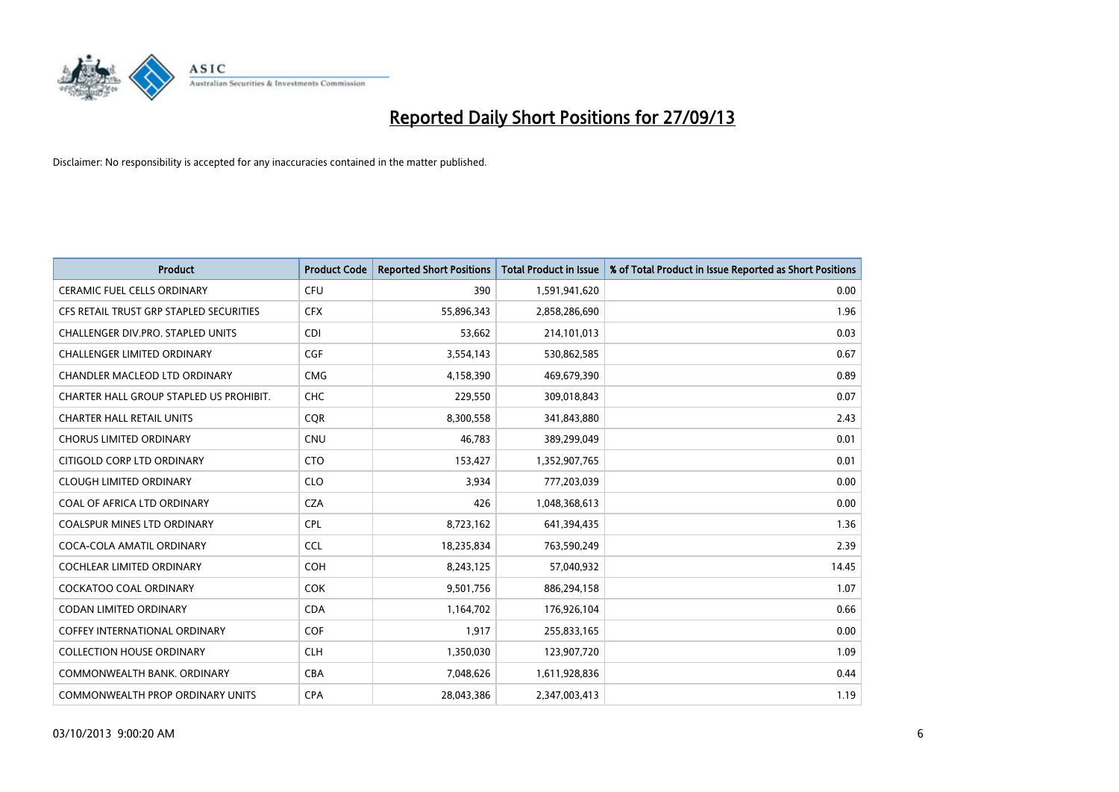

| <b>Product</b>                          | <b>Product Code</b> | <b>Reported Short Positions</b> | <b>Total Product in Issue</b> | % of Total Product in Issue Reported as Short Positions |
|-----------------------------------------|---------------------|---------------------------------|-------------------------------|---------------------------------------------------------|
| <b>CERAMIC FUEL CELLS ORDINARY</b>      | <b>CFU</b>          | 390                             | 1,591,941,620                 | 0.00                                                    |
| CFS RETAIL TRUST GRP STAPLED SECURITIES | <b>CFX</b>          | 55,896,343                      | 2,858,286,690                 | 1.96                                                    |
| CHALLENGER DIV.PRO. STAPLED UNITS       | <b>CDI</b>          | 53,662                          | 214,101,013                   | 0.03                                                    |
| <b>CHALLENGER LIMITED ORDINARY</b>      | <b>CGF</b>          | 3,554,143                       | 530,862,585                   | 0.67                                                    |
| <b>CHANDLER MACLEOD LTD ORDINARY</b>    | <b>CMG</b>          | 4,158,390                       | 469,679,390                   | 0.89                                                    |
| CHARTER HALL GROUP STAPLED US PROHIBIT. | <b>CHC</b>          | 229,550                         | 309,018,843                   | 0.07                                                    |
| <b>CHARTER HALL RETAIL UNITS</b>        | <b>CQR</b>          | 8,300,558                       | 341,843,880                   | 2.43                                                    |
| <b>CHORUS LIMITED ORDINARY</b>          | <b>CNU</b>          | 46,783                          | 389,299,049                   | 0.01                                                    |
| CITIGOLD CORP LTD ORDINARY              | <b>CTO</b>          | 153,427                         | 1,352,907,765                 | 0.01                                                    |
| <b>CLOUGH LIMITED ORDINARY</b>          | <b>CLO</b>          | 3,934                           | 777,203,039                   | 0.00                                                    |
| COAL OF AFRICA LTD ORDINARY             | <b>CZA</b>          | 426                             | 1,048,368,613                 | 0.00                                                    |
| COALSPUR MINES LTD ORDINARY             | <b>CPL</b>          | 8,723,162                       | 641,394,435                   | 1.36                                                    |
| COCA-COLA AMATIL ORDINARY               | <b>CCL</b>          | 18,235,834                      | 763,590,249                   | 2.39                                                    |
| <b>COCHLEAR LIMITED ORDINARY</b>        | <b>COH</b>          | 8,243,125                       | 57,040,932                    | 14.45                                                   |
| <b>COCKATOO COAL ORDINARY</b>           | <b>COK</b>          | 9,501,756                       | 886,294,158                   | 1.07                                                    |
| <b>CODAN LIMITED ORDINARY</b>           | <b>CDA</b>          | 1,164,702                       | 176,926,104                   | 0.66                                                    |
| <b>COFFEY INTERNATIONAL ORDINARY</b>    | <b>COF</b>          | 1,917                           | 255,833,165                   | 0.00                                                    |
| <b>COLLECTION HOUSE ORDINARY</b>        | <b>CLH</b>          | 1,350,030                       | 123,907,720                   | 1.09                                                    |
| COMMONWEALTH BANK, ORDINARY             | <b>CBA</b>          | 7,048,626                       | 1,611,928,836                 | 0.44                                                    |
| COMMONWEALTH PROP ORDINARY UNITS        | <b>CPA</b>          | 28,043,386                      | 2,347,003,413                 | 1.19                                                    |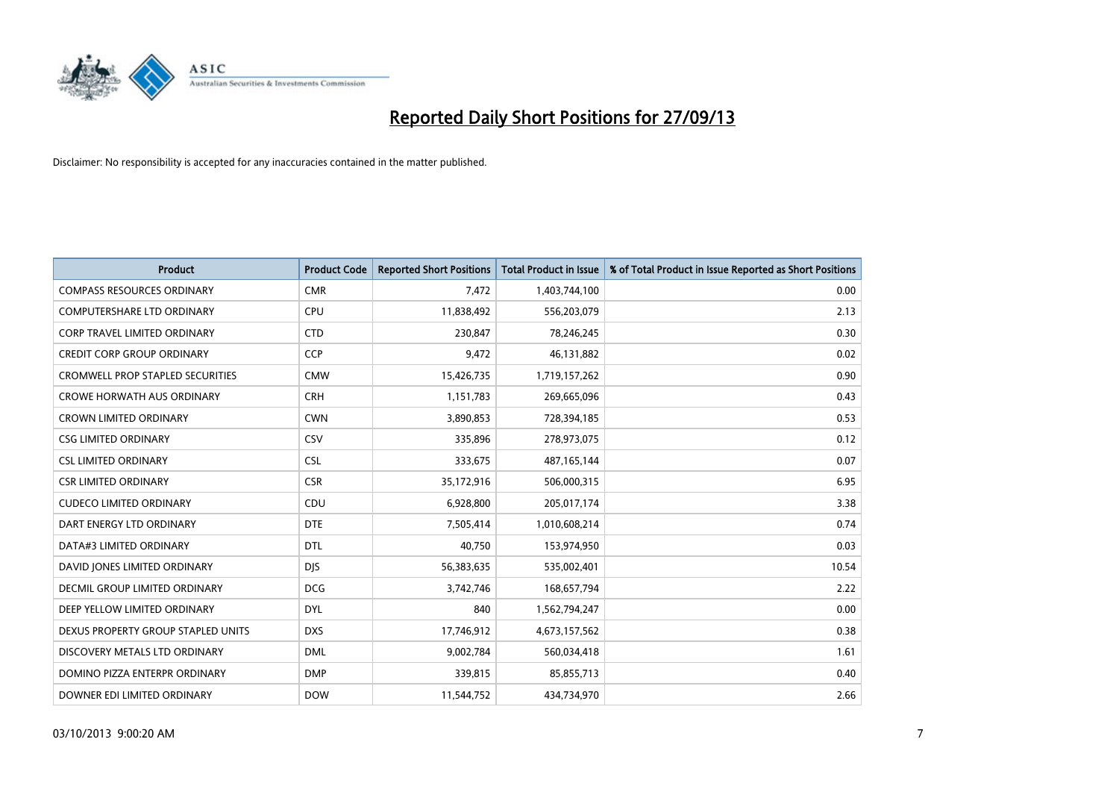

| <b>Product</b>                          | <b>Product Code</b> | <b>Reported Short Positions</b> | <b>Total Product in Issue</b> | % of Total Product in Issue Reported as Short Positions |
|-----------------------------------------|---------------------|---------------------------------|-------------------------------|---------------------------------------------------------|
| <b>COMPASS RESOURCES ORDINARY</b>       | <b>CMR</b>          | 7,472                           | 1,403,744,100                 | 0.00                                                    |
| COMPUTERSHARE LTD ORDINARY              | <b>CPU</b>          | 11,838,492                      | 556,203,079                   | 2.13                                                    |
| <b>CORP TRAVEL LIMITED ORDINARY</b>     | <b>CTD</b>          | 230,847                         | 78,246,245                    | 0.30                                                    |
| <b>CREDIT CORP GROUP ORDINARY</b>       | <b>CCP</b>          | 9,472                           | 46,131,882                    | 0.02                                                    |
| <b>CROMWELL PROP STAPLED SECURITIES</b> | <b>CMW</b>          | 15,426,735                      | 1,719,157,262                 | 0.90                                                    |
| <b>CROWE HORWATH AUS ORDINARY</b>       | <b>CRH</b>          | 1,151,783                       | 269,665,096                   | 0.43                                                    |
| CROWN LIMITED ORDINARY                  | <b>CWN</b>          | 3,890,853                       | 728,394,185                   | 0.53                                                    |
| <b>CSG LIMITED ORDINARY</b>             | <b>CSV</b>          | 335,896                         | 278,973,075                   | 0.12                                                    |
| <b>CSL LIMITED ORDINARY</b>             | <b>CSL</b>          | 333,675                         | 487,165,144                   | 0.07                                                    |
| <b>CSR LIMITED ORDINARY</b>             | <b>CSR</b>          | 35,172,916                      | 506,000,315                   | 6.95                                                    |
| <b>CUDECO LIMITED ORDINARY</b>          | CDU                 | 6,928,800                       | 205,017,174                   | 3.38                                                    |
| DART ENERGY LTD ORDINARY                | <b>DTE</b>          | 7,505,414                       | 1,010,608,214                 | 0.74                                                    |
| DATA#3 LIMITED ORDINARY                 | <b>DTL</b>          | 40,750                          | 153,974,950                   | 0.03                                                    |
| DAVID JONES LIMITED ORDINARY            | <b>DJS</b>          | 56,383,635                      | 535,002,401                   | 10.54                                                   |
| <b>DECMIL GROUP LIMITED ORDINARY</b>    | <b>DCG</b>          | 3,742,746                       | 168,657,794                   | 2.22                                                    |
| DEEP YELLOW LIMITED ORDINARY            | DYL                 | 840                             | 1,562,794,247                 | 0.00                                                    |
| DEXUS PROPERTY GROUP STAPLED UNITS      | <b>DXS</b>          | 17,746,912                      | 4,673,157,562                 | 0.38                                                    |
| DISCOVERY METALS LTD ORDINARY           | <b>DML</b>          | 9,002,784                       | 560,034,418                   | 1.61                                                    |
| DOMINO PIZZA ENTERPR ORDINARY           | <b>DMP</b>          | 339,815                         | 85,855,713                    | 0.40                                                    |
| DOWNER EDI LIMITED ORDINARY             | <b>DOW</b>          | 11,544,752                      | 434,734,970                   | 2.66                                                    |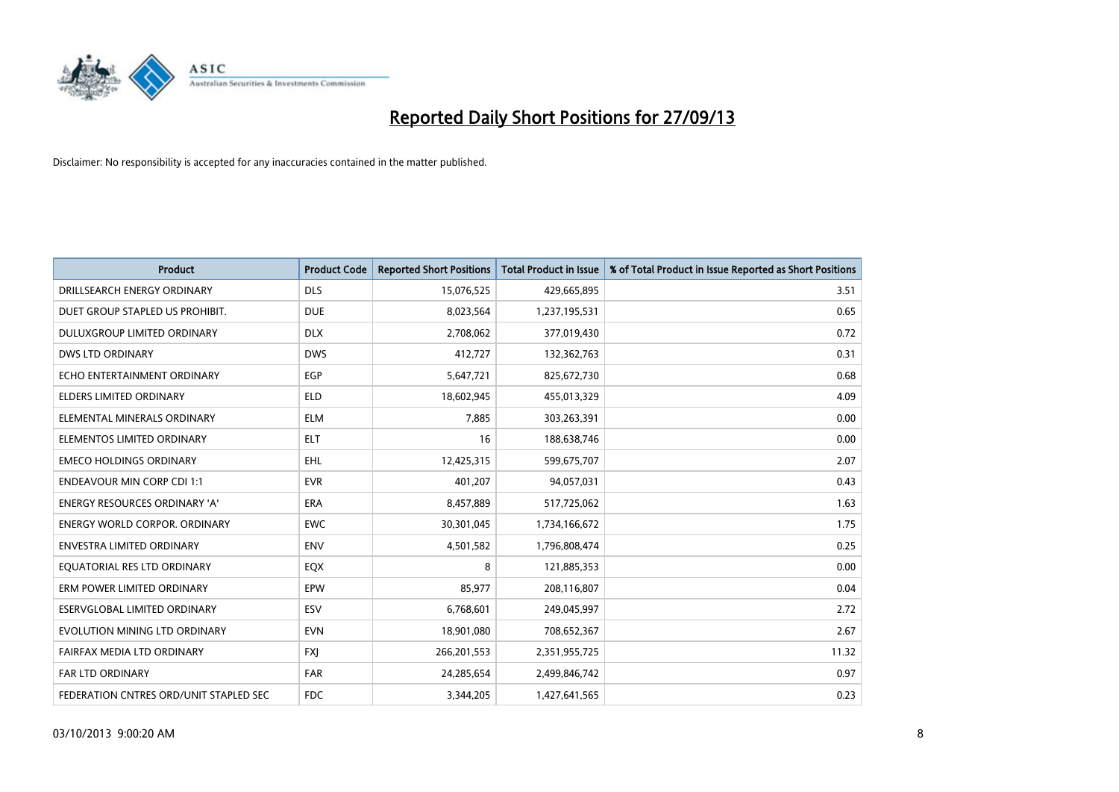

| <b>Product</b>                         | <b>Product Code</b> | <b>Reported Short Positions</b> | <b>Total Product in Issue</b> | % of Total Product in Issue Reported as Short Positions |
|----------------------------------------|---------------------|---------------------------------|-------------------------------|---------------------------------------------------------|
| DRILLSEARCH ENERGY ORDINARY            | <b>DLS</b>          | 15,076,525                      | 429,665,895                   | 3.51                                                    |
| DUET GROUP STAPLED US PROHIBIT.        | <b>DUE</b>          | 8,023,564                       | 1,237,195,531                 | 0.65                                                    |
| <b>DULUXGROUP LIMITED ORDINARY</b>     | <b>DLX</b>          | 2,708,062                       | 377,019,430                   | 0.72                                                    |
| <b>DWS LTD ORDINARY</b>                | <b>DWS</b>          | 412,727                         | 132,362,763                   | 0.31                                                    |
| ECHO ENTERTAINMENT ORDINARY            | EGP                 | 5,647,721                       | 825,672,730                   | 0.68                                                    |
| <b>ELDERS LIMITED ORDINARY</b>         | <b>ELD</b>          | 18,602,945                      | 455,013,329                   | 4.09                                                    |
| ELEMENTAL MINERALS ORDINARY            | <b>ELM</b>          | 7,885                           | 303,263,391                   | 0.00                                                    |
| ELEMENTOS LIMITED ORDINARY             | <b>ELT</b>          | 16                              | 188,638,746                   | 0.00                                                    |
| <b>EMECO HOLDINGS ORDINARY</b>         | <b>EHL</b>          | 12,425,315                      | 599,675,707                   | 2.07                                                    |
| <b>ENDEAVOUR MIN CORP CDI 1:1</b>      | <b>EVR</b>          | 401,207                         | 94,057,031                    | 0.43                                                    |
| ENERGY RESOURCES ORDINARY 'A'          | <b>ERA</b>          | 8,457,889                       | 517,725,062                   | 1.63                                                    |
| <b>ENERGY WORLD CORPOR, ORDINARY</b>   | <b>EWC</b>          | 30,301,045                      | 1,734,166,672                 | 1.75                                                    |
| <b>ENVESTRA LIMITED ORDINARY</b>       | <b>ENV</b>          | 4,501,582                       | 1,796,808,474                 | 0.25                                                    |
| EQUATORIAL RES LTD ORDINARY            | EQX                 | 8                               | 121,885,353                   | 0.00                                                    |
| ERM POWER LIMITED ORDINARY             | EPW                 | 85,977                          | 208,116,807                   | 0.04                                                    |
| ESERVGLOBAL LIMITED ORDINARY           | ESV                 | 6,768,601                       | 249,045,997                   | 2.72                                                    |
| EVOLUTION MINING LTD ORDINARY          | <b>EVN</b>          | 18,901,080                      | 708,652,367                   | 2.67                                                    |
| FAIRFAX MEDIA LTD ORDINARY             | FXJ                 | 266,201,553                     | 2,351,955,725                 | 11.32                                                   |
| <b>FAR LTD ORDINARY</b>                | <b>FAR</b>          | 24,285,654                      | 2,499,846,742                 | 0.97                                                    |
| FEDERATION CNTRES ORD/UNIT STAPLED SEC | <b>FDC</b>          | 3,344,205                       | 1,427,641,565                 | 0.23                                                    |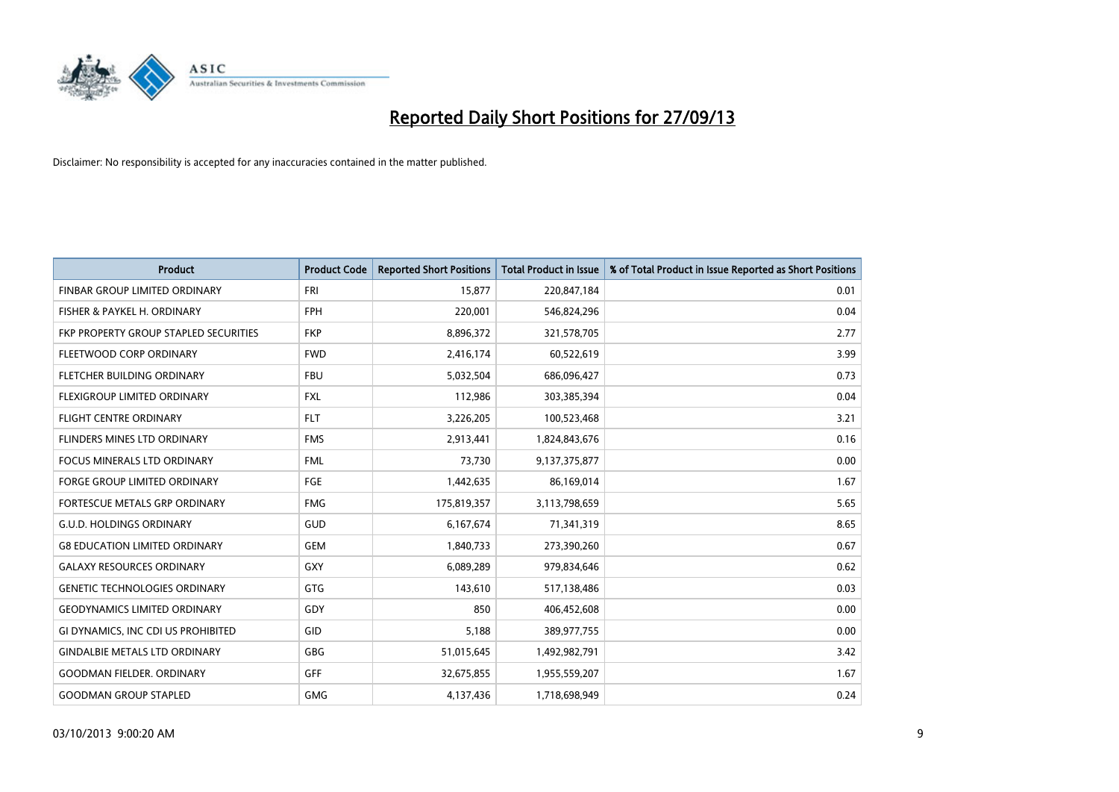

| <b>Product</b>                        | <b>Product Code</b> | <b>Reported Short Positions</b> | <b>Total Product in Issue</b> | % of Total Product in Issue Reported as Short Positions |
|---------------------------------------|---------------------|---------------------------------|-------------------------------|---------------------------------------------------------|
| FINBAR GROUP LIMITED ORDINARY         | <b>FRI</b>          | 15,877                          | 220,847,184                   | 0.01                                                    |
| FISHER & PAYKEL H. ORDINARY           | <b>FPH</b>          | 220,001                         | 546,824,296                   | 0.04                                                    |
| FKP PROPERTY GROUP STAPLED SECURITIES | <b>FKP</b>          | 8,896,372                       | 321,578,705                   | 2.77                                                    |
| FLEETWOOD CORP ORDINARY               | <b>FWD</b>          | 2,416,174                       | 60,522,619                    | 3.99                                                    |
| FLETCHER BUILDING ORDINARY            | <b>FBU</b>          | 5,032,504                       | 686,096,427                   | 0.73                                                    |
| FLEXIGROUP LIMITED ORDINARY           | <b>FXL</b>          | 112,986                         | 303,385,394                   | 0.04                                                    |
| <b>FLIGHT CENTRE ORDINARY</b>         | <b>FLT</b>          | 3,226,205                       | 100,523,468                   | 3.21                                                    |
| <b>FLINDERS MINES LTD ORDINARY</b>    | <b>FMS</b>          | 2,913,441                       | 1,824,843,676                 | 0.16                                                    |
| <b>FOCUS MINERALS LTD ORDINARY</b>    | <b>FML</b>          | 73,730                          | 9,137,375,877                 | 0.00                                                    |
| FORGE GROUP LIMITED ORDINARY          | FGE                 | 1,442,635                       | 86,169,014                    | 1.67                                                    |
| FORTESCUE METALS GRP ORDINARY         | <b>FMG</b>          | 175,819,357                     | 3,113,798,659                 | 5.65                                                    |
| <b>G.U.D. HOLDINGS ORDINARY</b>       | <b>GUD</b>          | 6,167,674                       | 71,341,319                    | 8.65                                                    |
| <b>G8 EDUCATION LIMITED ORDINARY</b>  | <b>GEM</b>          | 1,840,733                       | 273,390,260                   | 0.67                                                    |
| <b>GALAXY RESOURCES ORDINARY</b>      | GXY                 | 6,089,289                       | 979,834,646                   | 0.62                                                    |
| <b>GENETIC TECHNOLOGIES ORDINARY</b>  | GTG                 | 143,610                         | 517,138,486                   | 0.03                                                    |
| <b>GEODYNAMICS LIMITED ORDINARY</b>   | GDY                 | 850                             | 406,452,608                   | 0.00                                                    |
| GI DYNAMICS, INC CDI US PROHIBITED    | GID                 | 5,188                           | 389,977,755                   | 0.00                                                    |
| <b>GINDALBIE METALS LTD ORDINARY</b>  | GBG                 | 51,015,645                      | 1,492,982,791                 | 3.42                                                    |
| <b>GOODMAN FIELDER, ORDINARY</b>      | GFF                 | 32,675,855                      | 1,955,559,207                 | 1.67                                                    |
| <b>GOODMAN GROUP STAPLED</b>          | <b>GMG</b>          | 4,137,436                       | 1,718,698,949                 | 0.24                                                    |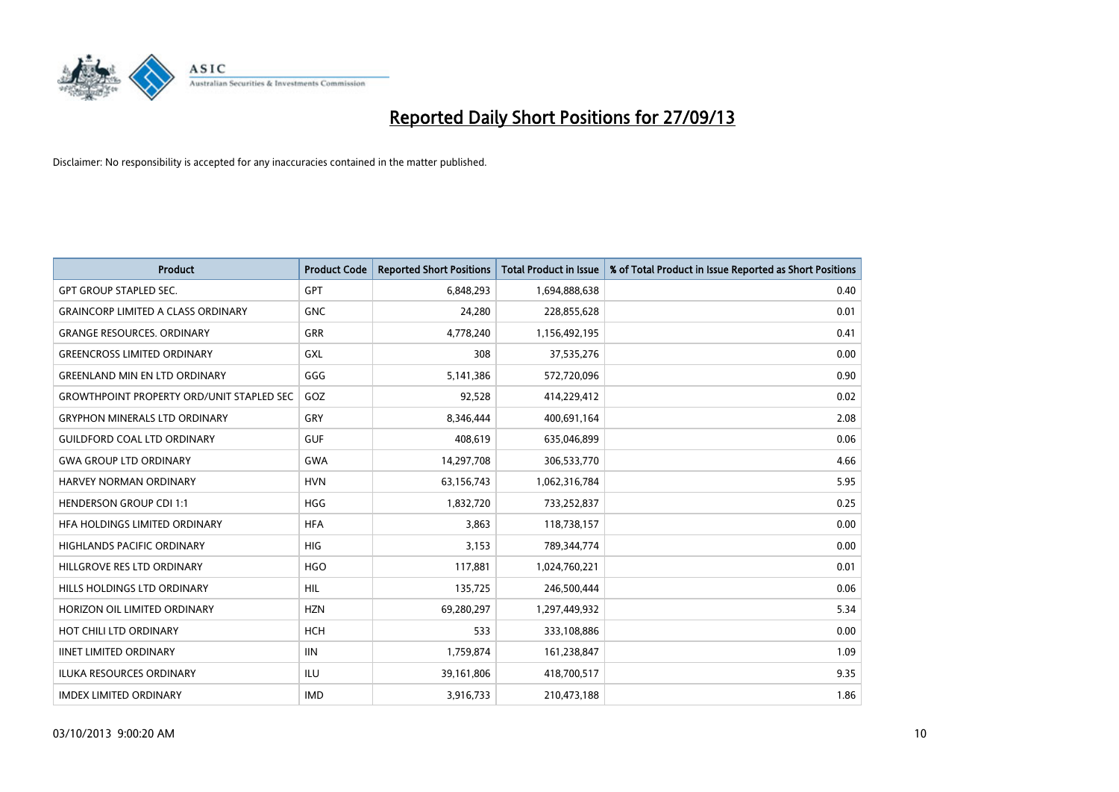

| <b>Product</b>                                   | <b>Product Code</b> | <b>Reported Short Positions</b> | <b>Total Product in Issue</b> | % of Total Product in Issue Reported as Short Positions |
|--------------------------------------------------|---------------------|---------------------------------|-------------------------------|---------------------------------------------------------|
| <b>GPT GROUP STAPLED SEC.</b>                    | GPT                 | 6,848,293                       | 1,694,888,638                 | 0.40                                                    |
| <b>GRAINCORP LIMITED A CLASS ORDINARY</b>        | <b>GNC</b>          | 24,280                          | 228,855,628                   | 0.01                                                    |
| <b>GRANGE RESOURCES, ORDINARY</b>                | <b>GRR</b>          | 4,778,240                       | 1,156,492,195                 | 0.41                                                    |
| <b>GREENCROSS LIMITED ORDINARY</b>               | GXL                 | 308                             | 37,535,276                    | 0.00                                                    |
| <b>GREENLAND MIN EN LTD ORDINARY</b>             | GGG                 | 5,141,386                       | 572,720,096                   | 0.90                                                    |
| <b>GROWTHPOINT PROPERTY ORD/UNIT STAPLED SEC</b> | GOZ                 | 92,528                          | 414,229,412                   | 0.02                                                    |
| <b>GRYPHON MINERALS LTD ORDINARY</b>             | GRY                 | 8,346,444                       | 400,691,164                   | 2.08                                                    |
| <b>GUILDFORD COAL LTD ORDINARY</b>               | <b>GUF</b>          | 408,619                         | 635,046,899                   | 0.06                                                    |
| <b>GWA GROUP LTD ORDINARY</b>                    | GWA                 | 14,297,708                      | 306,533,770                   | 4.66                                                    |
| <b>HARVEY NORMAN ORDINARY</b>                    | <b>HVN</b>          | 63,156,743                      | 1,062,316,784                 | 5.95                                                    |
| <b>HENDERSON GROUP CDI 1:1</b>                   | <b>HGG</b>          | 1,832,720                       | 733,252,837                   | 0.25                                                    |
| HFA HOLDINGS LIMITED ORDINARY                    | <b>HFA</b>          | 3,863                           | 118,738,157                   | 0.00                                                    |
| HIGHLANDS PACIFIC ORDINARY                       | <b>HIG</b>          | 3,153                           | 789,344,774                   | 0.00                                                    |
| HILLGROVE RES LTD ORDINARY                       | <b>HGO</b>          | 117,881                         | 1,024,760,221                 | 0.01                                                    |
| HILLS HOLDINGS LTD ORDINARY                      | <b>HIL</b>          | 135,725                         | 246,500,444                   | 0.06                                                    |
| HORIZON OIL LIMITED ORDINARY                     | <b>HZN</b>          | 69,280,297                      | 1,297,449,932                 | 5.34                                                    |
| HOT CHILI LTD ORDINARY                           | <b>HCH</b>          | 533                             | 333,108,886                   | 0.00                                                    |
| <b>IINET LIMITED ORDINARY</b>                    | <b>IIN</b>          | 1,759,874                       | 161,238,847                   | 1.09                                                    |
| <b>ILUKA RESOURCES ORDINARY</b>                  | ILU                 | 39,161,806                      | 418,700,517                   | 9.35                                                    |
| <b>IMDEX LIMITED ORDINARY</b>                    | <b>IMD</b>          | 3,916,733                       | 210,473,188                   | 1.86                                                    |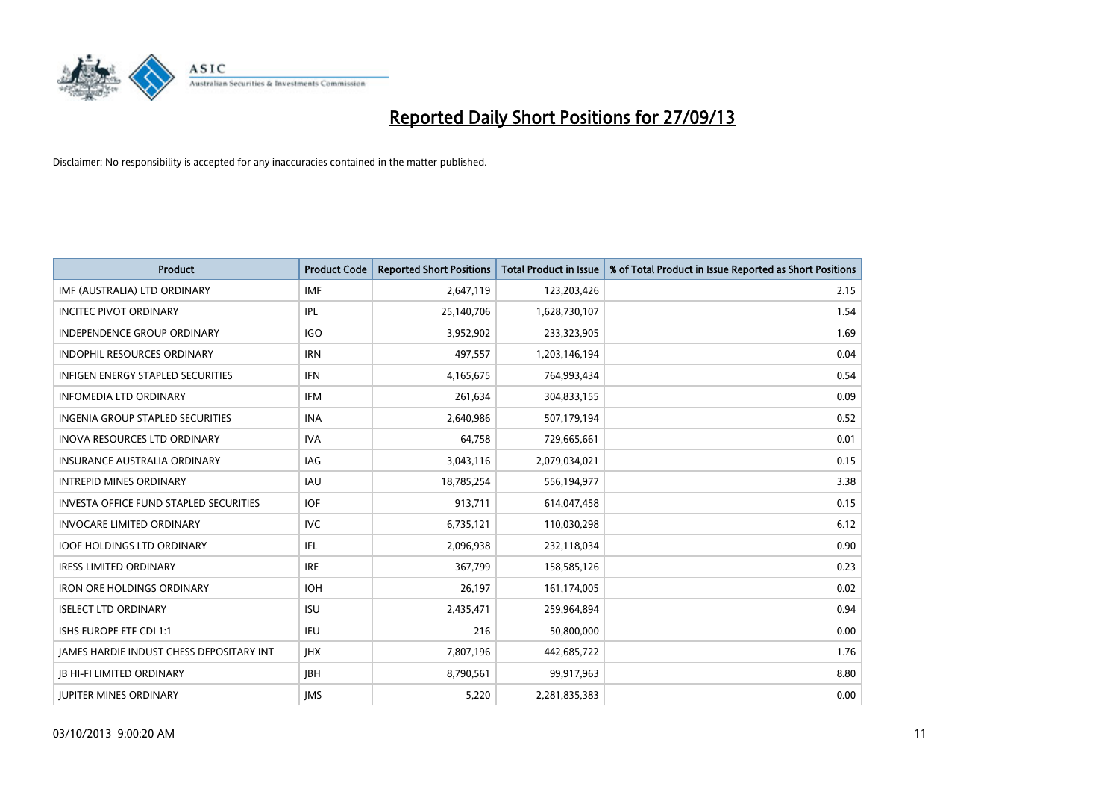

| <b>Product</b>                                | <b>Product Code</b> | <b>Reported Short Positions</b> | <b>Total Product in Issue</b> | % of Total Product in Issue Reported as Short Positions |
|-----------------------------------------------|---------------------|---------------------------------|-------------------------------|---------------------------------------------------------|
| IMF (AUSTRALIA) LTD ORDINARY                  | <b>IMF</b>          | 2,647,119                       | 123,203,426                   | 2.15                                                    |
| <b>INCITEC PIVOT ORDINARY</b>                 | IPL                 | 25,140,706                      | 1,628,730,107                 | 1.54                                                    |
| <b>INDEPENDENCE GROUP ORDINARY</b>            | <b>IGO</b>          | 3,952,902                       | 233,323,905                   | 1.69                                                    |
| INDOPHIL RESOURCES ORDINARY                   | <b>IRN</b>          | 497,557                         | 1,203,146,194                 | 0.04                                                    |
| <b>INFIGEN ENERGY STAPLED SECURITIES</b>      | <b>IFN</b>          | 4,165,675                       | 764,993,434                   | 0.54                                                    |
| <b>INFOMEDIA LTD ORDINARY</b>                 | <b>IFM</b>          | 261,634                         | 304,833,155                   | 0.09                                                    |
| <b>INGENIA GROUP STAPLED SECURITIES</b>       | <b>INA</b>          | 2,640,986                       | 507,179,194                   | 0.52                                                    |
| <b>INOVA RESOURCES LTD ORDINARY</b>           | <b>IVA</b>          | 64,758                          | 729,665,661                   | 0.01                                                    |
| INSURANCE AUSTRALIA ORDINARY                  | IAG                 | 3,043,116                       | 2,079,034,021                 | 0.15                                                    |
| <b>INTREPID MINES ORDINARY</b>                | <b>IAU</b>          | 18,785,254                      | 556,194,977                   | 3.38                                                    |
| <b>INVESTA OFFICE FUND STAPLED SECURITIES</b> | <b>IOF</b>          | 913,711                         | 614,047,458                   | 0.15                                                    |
| <b>INVOCARE LIMITED ORDINARY</b>              | <b>IVC</b>          | 6,735,121                       | 110,030,298                   | 6.12                                                    |
| <b>IOOF HOLDINGS LTD ORDINARY</b>             | IFL                 | 2,096,938                       | 232,118,034                   | 0.90                                                    |
| <b>IRESS LIMITED ORDINARY</b>                 | <b>IRE</b>          | 367,799                         | 158,585,126                   | 0.23                                                    |
| <b>IRON ORE HOLDINGS ORDINARY</b>             | <b>IOH</b>          | 26,197                          | 161,174,005                   | 0.02                                                    |
| <b>ISELECT LTD ORDINARY</b>                   | <b>ISU</b>          | 2,435,471                       | 259,964,894                   | 0.94                                                    |
| ISHS EUROPE ETF CDI 1:1                       | <b>IEU</b>          | 216                             | 50,800,000                    | 0.00                                                    |
| JAMES HARDIE INDUST CHESS DEPOSITARY INT      | <b>IHX</b>          | 7,807,196                       | 442,685,722                   | 1.76                                                    |
| <b>IB HI-FI LIMITED ORDINARY</b>              | <b>IBH</b>          | 8,790,561                       | 99,917,963                    | 8.80                                                    |
| <b>IUPITER MINES ORDINARY</b>                 | <b>IMS</b>          | 5,220                           | 2,281,835,383                 | 0.00                                                    |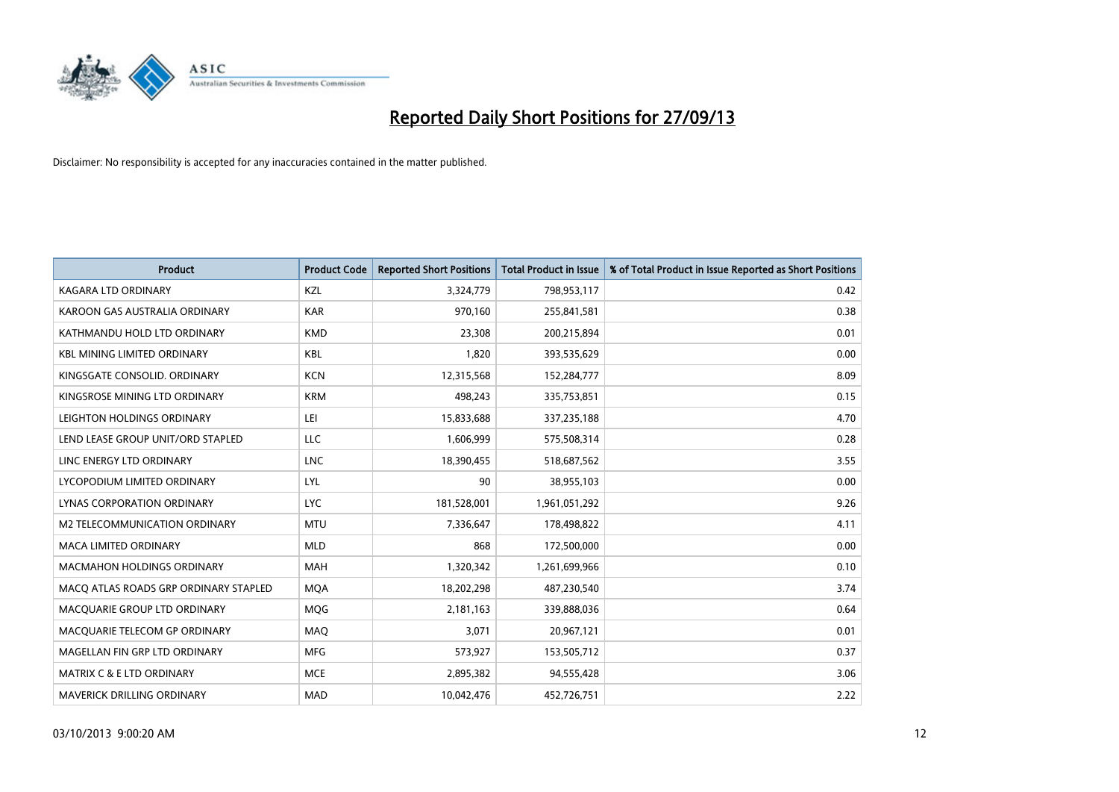

| <b>Product</b>                        | <b>Product Code</b> | <b>Reported Short Positions</b> | <b>Total Product in Issue</b> | % of Total Product in Issue Reported as Short Positions |
|---------------------------------------|---------------------|---------------------------------|-------------------------------|---------------------------------------------------------|
| <b>KAGARA LTD ORDINARY</b>            | <b>KZL</b>          | 3,324,779                       | 798,953,117                   | 0.42                                                    |
| KAROON GAS AUSTRALIA ORDINARY         | <b>KAR</b>          | 970,160                         | 255,841,581                   | 0.38                                                    |
| KATHMANDU HOLD LTD ORDINARY           | <b>KMD</b>          | 23,308                          | 200,215,894                   | 0.01                                                    |
| <b>KBL MINING LIMITED ORDINARY</b>    | <b>KBL</b>          | 1.820                           | 393,535,629                   | 0.00                                                    |
| KINGSGATE CONSOLID, ORDINARY          | <b>KCN</b>          | 12,315,568                      | 152,284,777                   | 8.09                                                    |
| KINGSROSE MINING LTD ORDINARY         | <b>KRM</b>          | 498,243                         | 335,753,851                   | 0.15                                                    |
| LEIGHTON HOLDINGS ORDINARY            | LEI                 | 15,833,688                      | 337,235,188                   | 4.70                                                    |
| LEND LEASE GROUP UNIT/ORD STAPLED     | <b>LLC</b>          | 1,606,999                       | 575,508,314                   | 0.28                                                    |
| LINC ENERGY LTD ORDINARY              | <b>LNC</b>          | 18,390,455                      | 518,687,562                   | 3.55                                                    |
| LYCOPODIUM LIMITED ORDINARY           | LYL                 | 90                              | 38,955,103                    | 0.00                                                    |
| LYNAS CORPORATION ORDINARY            | <b>LYC</b>          | 181,528,001                     | 1,961,051,292                 | 9.26                                                    |
| M2 TELECOMMUNICATION ORDINARY         | <b>MTU</b>          | 7,336,647                       | 178,498,822                   | 4.11                                                    |
| MACA LIMITED ORDINARY                 | <b>MLD</b>          | 868                             | 172,500,000                   | 0.00                                                    |
| <b>MACMAHON HOLDINGS ORDINARY</b>     | <b>MAH</b>          | 1,320,342                       | 1,261,699,966                 | 0.10                                                    |
| MACO ATLAS ROADS GRP ORDINARY STAPLED | <b>MQA</b>          | 18,202,298                      | 487,230,540                   | 3.74                                                    |
| MACQUARIE GROUP LTD ORDINARY          | <b>MOG</b>          | 2,181,163                       | 339,888,036                   | 0.64                                                    |
| MACQUARIE TELECOM GP ORDINARY         | MAQ                 | 3,071                           | 20,967,121                    | 0.01                                                    |
| MAGELLAN FIN GRP LTD ORDINARY         | <b>MFG</b>          | 573,927                         | 153,505,712                   | 0.37                                                    |
| <b>MATRIX C &amp; E LTD ORDINARY</b>  | <b>MCE</b>          | 2,895,382                       | 94,555,428                    | 3.06                                                    |
| <b>MAVERICK DRILLING ORDINARY</b>     | <b>MAD</b>          | 10,042,476                      | 452,726,751                   | 2.22                                                    |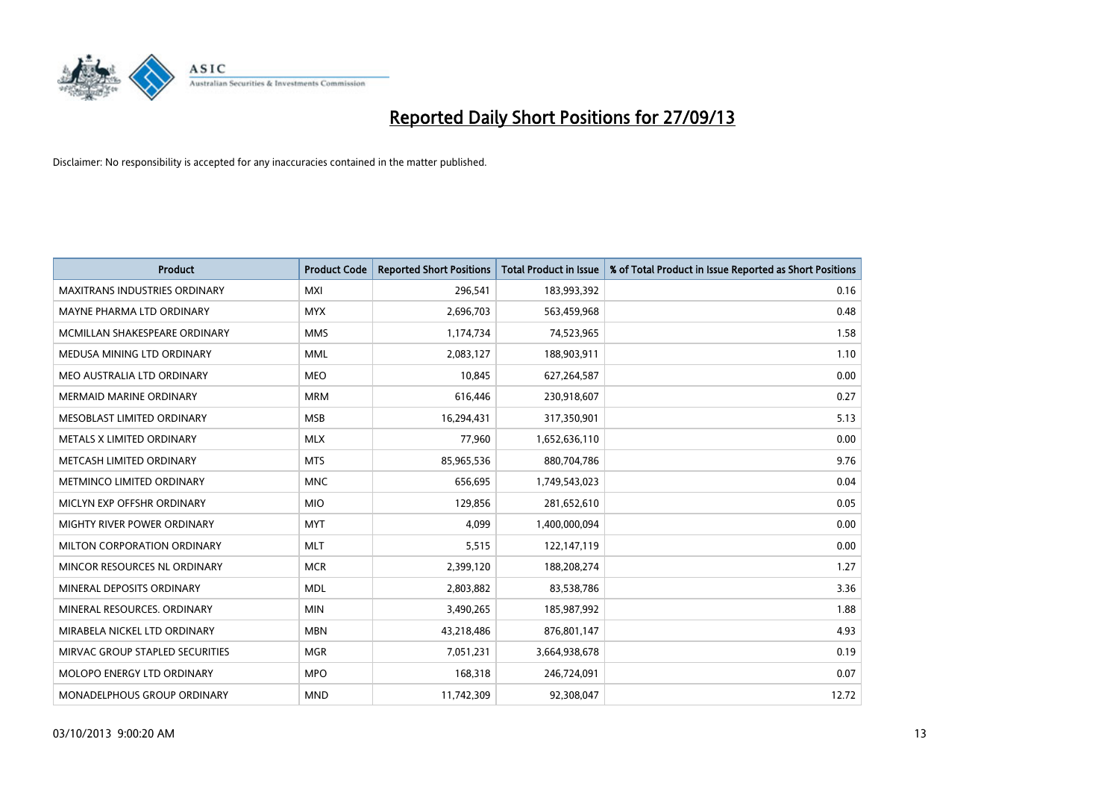

| <b>Product</b>                       | <b>Product Code</b> | <b>Reported Short Positions</b> | <b>Total Product in Issue</b> | % of Total Product in Issue Reported as Short Positions |
|--------------------------------------|---------------------|---------------------------------|-------------------------------|---------------------------------------------------------|
| <b>MAXITRANS INDUSTRIES ORDINARY</b> | <b>MXI</b>          | 296,541                         | 183,993,392                   | 0.16                                                    |
| MAYNE PHARMA LTD ORDINARY            | <b>MYX</b>          | 2,696,703                       | 563,459,968                   | 0.48                                                    |
| MCMILLAN SHAKESPEARE ORDINARY        | <b>MMS</b>          | 1,174,734                       | 74,523,965                    | 1.58                                                    |
| MEDUSA MINING LTD ORDINARY           | <b>MML</b>          | 2,083,127                       | 188,903,911                   | 1.10                                                    |
| MEO AUSTRALIA LTD ORDINARY           | <b>MEO</b>          | 10,845                          | 627,264,587                   | 0.00                                                    |
| <b>MERMAID MARINE ORDINARY</b>       | <b>MRM</b>          | 616,446                         | 230,918,607                   | 0.27                                                    |
| MESOBLAST LIMITED ORDINARY           | <b>MSB</b>          | 16,294,431                      | 317,350,901                   | 5.13                                                    |
| METALS X LIMITED ORDINARY            | <b>MLX</b>          | 77,960                          | 1,652,636,110                 | 0.00                                                    |
| METCASH LIMITED ORDINARY             | <b>MTS</b>          | 85,965,536                      | 880,704,786                   | 9.76                                                    |
| METMINCO LIMITED ORDINARY            | <b>MNC</b>          | 656,695                         | 1,749,543,023                 | 0.04                                                    |
| MICLYN EXP OFFSHR ORDINARY           | <b>MIO</b>          | 129,856                         | 281,652,610                   | 0.05                                                    |
| MIGHTY RIVER POWER ORDINARY          | <b>MYT</b>          | 4,099                           | 1,400,000,094                 | 0.00                                                    |
| MILTON CORPORATION ORDINARY          | <b>MLT</b>          | 5,515                           | 122,147,119                   | 0.00                                                    |
| MINCOR RESOURCES NL ORDINARY         | <b>MCR</b>          | 2,399,120                       | 188,208,274                   | 1.27                                                    |
| MINERAL DEPOSITS ORDINARY            | <b>MDL</b>          | 2,803,882                       | 83,538,786                    | 3.36                                                    |
| MINERAL RESOURCES. ORDINARY          | <b>MIN</b>          | 3,490,265                       | 185,987,992                   | 1.88                                                    |
| MIRABELA NICKEL LTD ORDINARY         | <b>MBN</b>          | 43,218,486                      | 876,801,147                   | 4.93                                                    |
| MIRVAC GROUP STAPLED SECURITIES      | <b>MGR</b>          | 7,051,231                       | 3,664,938,678                 | 0.19                                                    |
| MOLOPO ENERGY LTD ORDINARY           | <b>MPO</b>          | 168,318                         | 246,724,091                   | 0.07                                                    |
| MONADELPHOUS GROUP ORDINARY          | <b>MND</b>          | 11,742,309                      | 92,308,047                    | 12.72                                                   |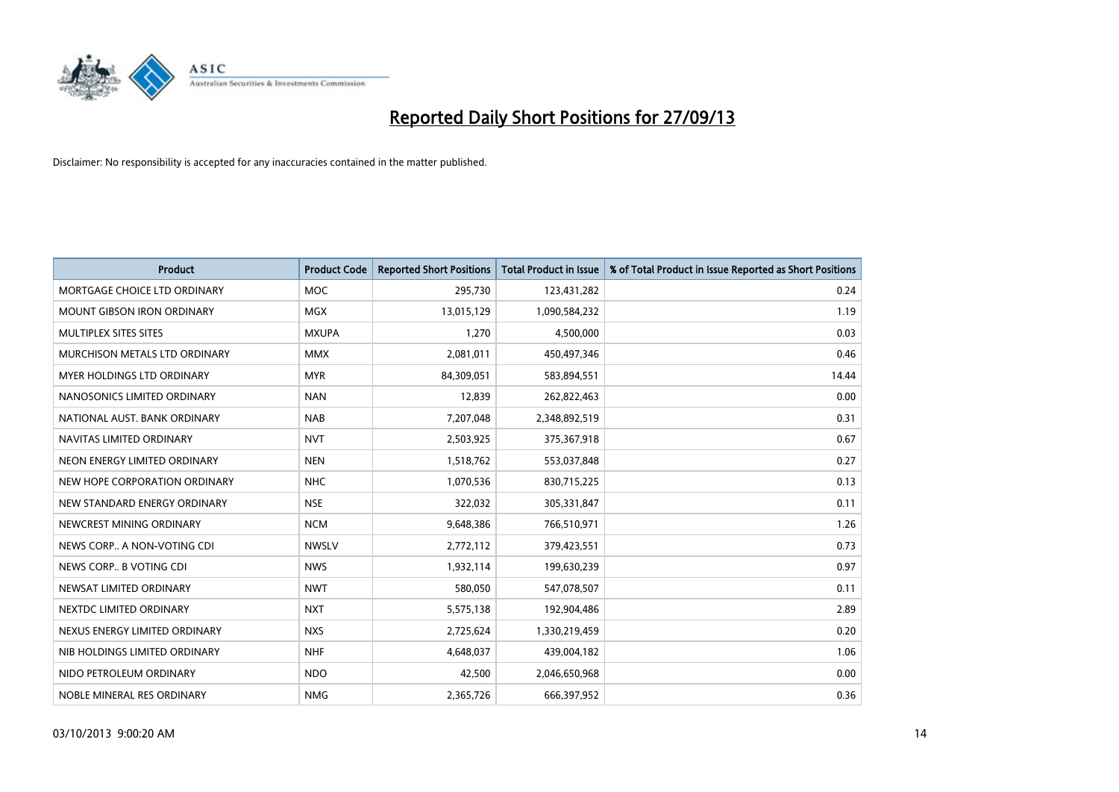

| <b>Product</b>                    | <b>Product Code</b> | <b>Reported Short Positions</b> | <b>Total Product in Issue</b> | % of Total Product in Issue Reported as Short Positions |
|-----------------------------------|---------------------|---------------------------------|-------------------------------|---------------------------------------------------------|
| MORTGAGE CHOICE LTD ORDINARY      | <b>MOC</b>          | 295,730                         | 123,431,282                   | 0.24                                                    |
| <b>MOUNT GIBSON IRON ORDINARY</b> | <b>MGX</b>          | 13,015,129                      | 1,090,584,232                 | 1.19                                                    |
| MULTIPLEX SITES SITES             | <b>MXUPA</b>        | 1,270                           | 4,500,000                     | 0.03                                                    |
| MURCHISON METALS LTD ORDINARY     | <b>MMX</b>          | 2,081,011                       | 450,497,346                   | 0.46                                                    |
| MYER HOLDINGS LTD ORDINARY        | <b>MYR</b>          | 84,309,051                      | 583,894,551                   | 14.44                                                   |
| NANOSONICS LIMITED ORDINARY       | <b>NAN</b>          | 12,839                          | 262,822,463                   | 0.00                                                    |
| NATIONAL AUST, BANK ORDINARY      | <b>NAB</b>          | 7,207,048                       | 2,348,892,519                 | 0.31                                                    |
| NAVITAS LIMITED ORDINARY          | <b>NVT</b>          | 2,503,925                       | 375,367,918                   | 0.67                                                    |
| NEON ENERGY LIMITED ORDINARY      | <b>NEN</b>          | 1,518,762                       | 553,037,848                   | 0.27                                                    |
| NEW HOPE CORPORATION ORDINARY     | <b>NHC</b>          | 1,070,536                       | 830,715,225                   | 0.13                                                    |
| NEW STANDARD ENERGY ORDINARY      | <b>NSE</b>          | 322,032                         | 305,331,847                   | 0.11                                                    |
| NEWCREST MINING ORDINARY          | <b>NCM</b>          | 9,648,386                       | 766,510,971                   | 1.26                                                    |
| NEWS CORP A NON-VOTING CDI        | <b>NWSLV</b>        | 2,772,112                       | 379,423,551                   | 0.73                                                    |
| NEWS CORP B VOTING CDI            | <b>NWS</b>          | 1,932,114                       | 199,630,239                   | 0.97                                                    |
| NEWSAT LIMITED ORDINARY           | <b>NWT</b>          | 580,050                         | 547,078,507                   | 0.11                                                    |
| NEXTDC LIMITED ORDINARY           | <b>NXT</b>          | 5,575,138                       | 192,904,486                   | 2.89                                                    |
| NEXUS ENERGY LIMITED ORDINARY     | <b>NXS</b>          | 2,725,624                       | 1,330,219,459                 | 0.20                                                    |
| NIB HOLDINGS LIMITED ORDINARY     | <b>NHF</b>          | 4,648,037                       | 439,004,182                   | 1.06                                                    |
| NIDO PETROLEUM ORDINARY           | <b>NDO</b>          | 42,500                          | 2,046,650,968                 | 0.00                                                    |
| NOBLE MINERAL RES ORDINARY        | <b>NMG</b>          | 2,365,726                       | 666,397,952                   | 0.36                                                    |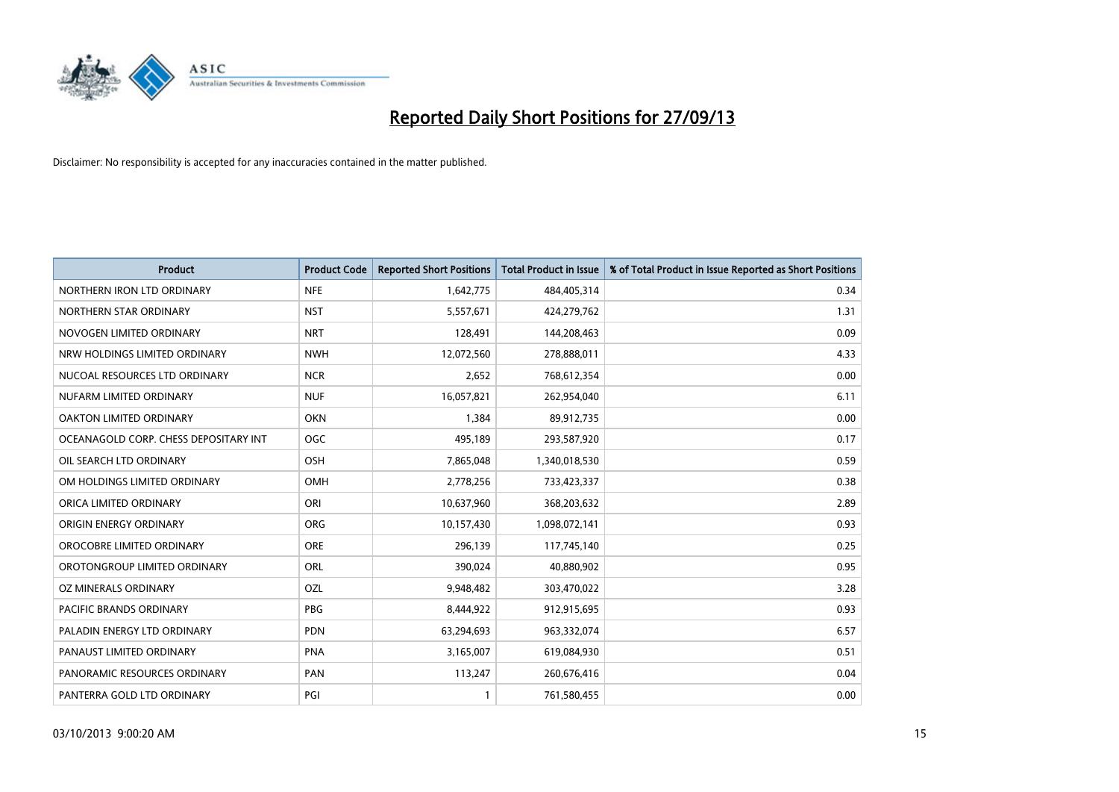

| <b>Product</b>                        | <b>Product Code</b> | <b>Reported Short Positions</b> | <b>Total Product in Issue</b> | % of Total Product in Issue Reported as Short Positions |
|---------------------------------------|---------------------|---------------------------------|-------------------------------|---------------------------------------------------------|
| NORTHERN IRON LTD ORDINARY            | <b>NFE</b>          | 1,642,775                       | 484,405,314                   | 0.34                                                    |
| NORTHERN STAR ORDINARY                | <b>NST</b>          | 5,557,671                       | 424,279,762                   | 1.31                                                    |
| NOVOGEN LIMITED ORDINARY              | <b>NRT</b>          | 128,491                         | 144,208,463                   | 0.09                                                    |
| NRW HOLDINGS LIMITED ORDINARY         | <b>NWH</b>          | 12,072,560                      | 278,888,011                   | 4.33                                                    |
| NUCOAL RESOURCES LTD ORDINARY         | <b>NCR</b>          | 2,652                           | 768,612,354                   | 0.00                                                    |
| NUFARM LIMITED ORDINARY               | <b>NUF</b>          | 16,057,821                      | 262,954,040                   | 6.11                                                    |
| OAKTON LIMITED ORDINARY               | <b>OKN</b>          | 1,384                           | 89,912,735                    | 0.00                                                    |
| OCEANAGOLD CORP. CHESS DEPOSITARY INT | <b>OGC</b>          | 495,189                         | 293,587,920                   | 0.17                                                    |
| OIL SEARCH LTD ORDINARY               | OSH                 | 7,865,048                       | 1,340,018,530                 | 0.59                                                    |
| OM HOLDINGS LIMITED ORDINARY          | <b>OMH</b>          | 2,778,256                       | 733,423,337                   | 0.38                                                    |
| ORICA LIMITED ORDINARY                | ORI                 | 10,637,960                      | 368,203,632                   | 2.89                                                    |
| ORIGIN ENERGY ORDINARY                | <b>ORG</b>          | 10,157,430                      | 1,098,072,141                 | 0.93                                                    |
| OROCOBRE LIMITED ORDINARY             | <b>ORE</b>          | 296,139                         | 117,745,140                   | 0.25                                                    |
| OROTONGROUP LIMITED ORDINARY          | ORL                 | 390,024                         | 40,880,902                    | 0.95                                                    |
| OZ MINERALS ORDINARY                  | <b>OZL</b>          | 9,948,482                       | 303,470,022                   | 3.28                                                    |
| PACIFIC BRANDS ORDINARY               | <b>PBG</b>          | 8,444,922                       | 912,915,695                   | 0.93                                                    |
| PALADIN ENERGY LTD ORDINARY           | <b>PDN</b>          | 63,294,693                      | 963,332,074                   | 6.57                                                    |
| PANAUST LIMITED ORDINARY              | <b>PNA</b>          | 3,165,007                       | 619,084,930                   | 0.51                                                    |
| PANORAMIC RESOURCES ORDINARY          | PAN                 | 113,247                         | 260,676,416                   | 0.04                                                    |
| PANTERRA GOLD LTD ORDINARY            | PGI                 |                                 | 761,580,455                   | 0.00                                                    |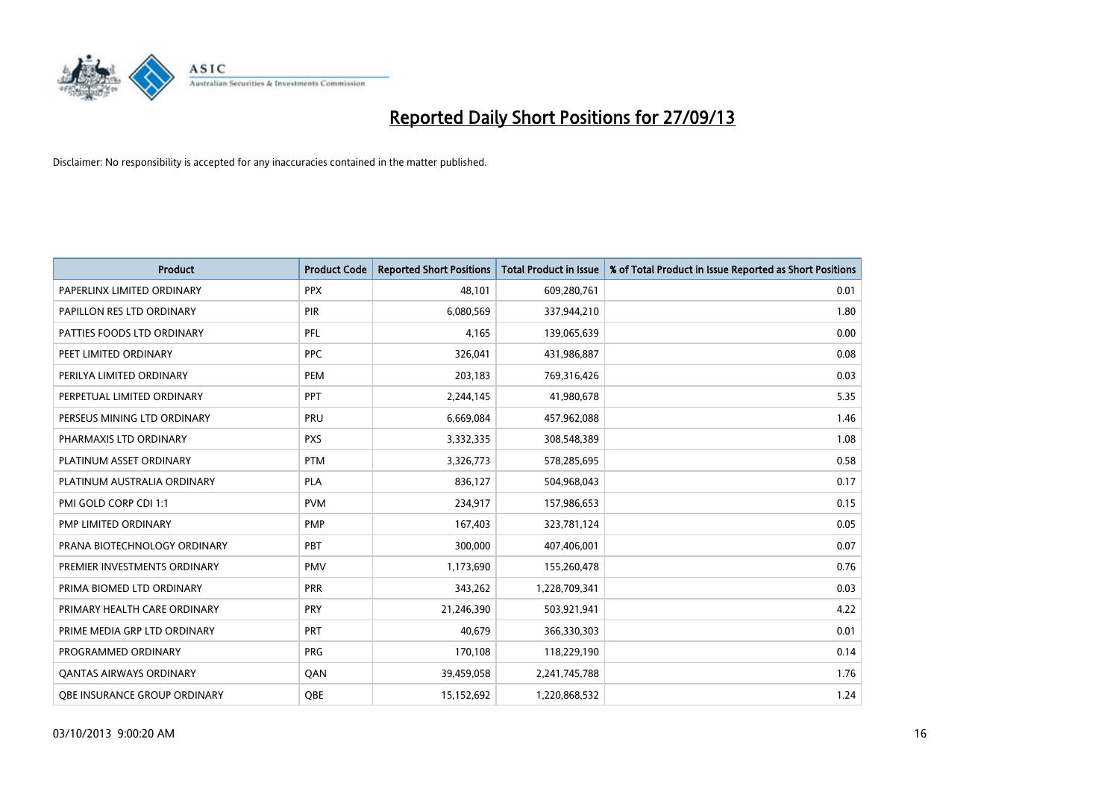

| <b>Product</b>                      | <b>Product Code</b> | <b>Reported Short Positions</b> | <b>Total Product in Issue</b> | % of Total Product in Issue Reported as Short Positions |
|-------------------------------------|---------------------|---------------------------------|-------------------------------|---------------------------------------------------------|
| PAPERLINX LIMITED ORDINARY          | <b>PPX</b>          | 48,101                          | 609,280,761                   | 0.01                                                    |
| PAPILLON RES LTD ORDINARY           | PIR                 | 6,080,569                       | 337,944,210                   | 1.80                                                    |
| PATTIES FOODS LTD ORDINARY          | <b>PFL</b>          | 4,165                           | 139,065,639                   | 0.00                                                    |
| PEET LIMITED ORDINARY               | <b>PPC</b>          | 326,041                         | 431,986,887                   | 0.08                                                    |
| PERILYA LIMITED ORDINARY            | PEM                 | 203,183                         | 769,316,426                   | 0.03                                                    |
| PERPETUAL LIMITED ORDINARY          | <b>PPT</b>          | 2,244,145                       | 41,980,678                    | 5.35                                                    |
| PERSEUS MINING LTD ORDINARY         | <b>PRU</b>          | 6,669,084                       | 457,962,088                   | 1.46                                                    |
| PHARMAXIS LTD ORDINARY              | <b>PXS</b>          | 3,332,335                       | 308,548,389                   | 1.08                                                    |
| PLATINUM ASSET ORDINARY             | <b>PTM</b>          | 3,326,773                       | 578,285,695                   | 0.58                                                    |
| PLATINUM AUSTRALIA ORDINARY         | <b>PLA</b>          | 836,127                         | 504,968,043                   | 0.17                                                    |
| PMI GOLD CORP CDI 1:1               | <b>PVM</b>          | 234,917                         | 157,986,653                   | 0.15                                                    |
| PMP LIMITED ORDINARY                | <b>PMP</b>          | 167,403                         | 323,781,124                   | 0.05                                                    |
| PRANA BIOTECHNOLOGY ORDINARY        | PBT                 | 300,000                         | 407,406,001                   | 0.07                                                    |
| PREMIER INVESTMENTS ORDINARY        | <b>PMV</b>          | 1,173,690                       | 155,260,478                   | 0.76                                                    |
| PRIMA BIOMED LTD ORDINARY           | <b>PRR</b>          | 343,262                         | 1,228,709,341                 | 0.03                                                    |
| PRIMARY HEALTH CARE ORDINARY        | PRY                 | 21,246,390                      | 503,921,941                   | 4.22                                                    |
| PRIME MEDIA GRP LTD ORDINARY        | PRT                 | 40,679                          | 366,330,303                   | 0.01                                                    |
| PROGRAMMED ORDINARY                 | <b>PRG</b>          | 170,108                         | 118,229,190                   | 0.14                                                    |
| <b>QANTAS AIRWAYS ORDINARY</b>      | QAN                 | 39,459,058                      | 2,241,745,788                 | 1.76                                                    |
| <b>QBE INSURANCE GROUP ORDINARY</b> | OBE                 | 15,152,692                      | 1,220,868,532                 | 1.24                                                    |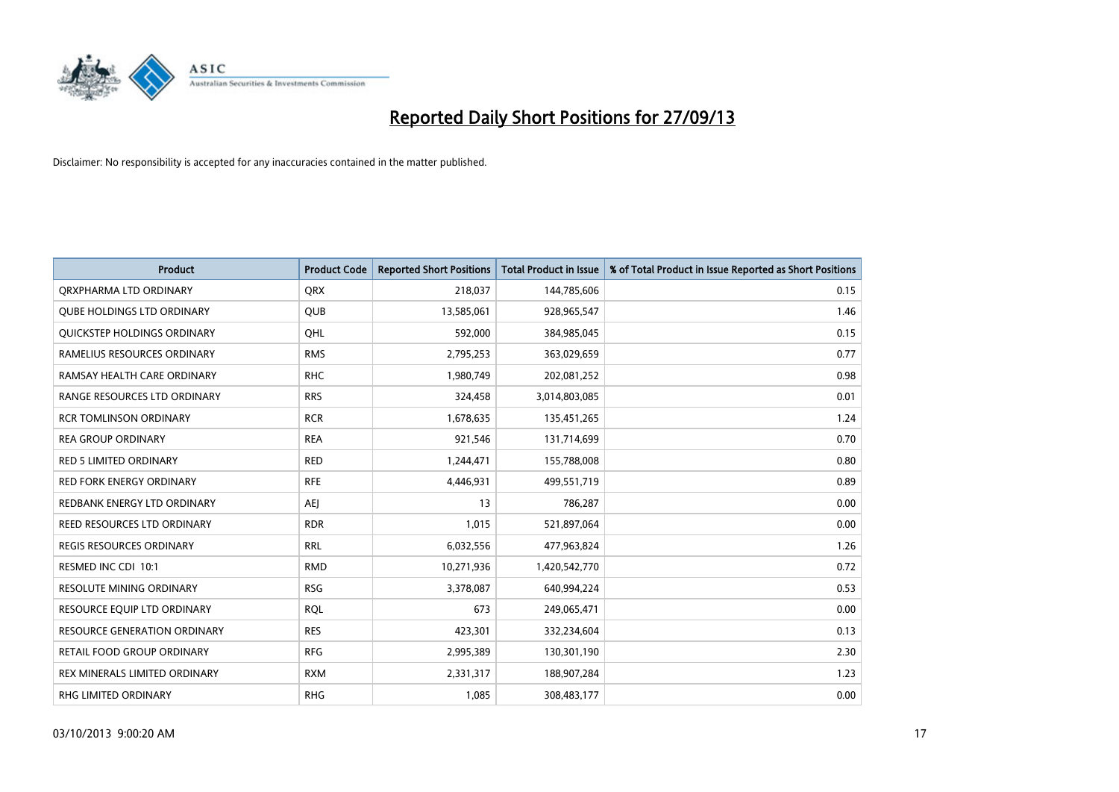

| <b>Product</b>                      | <b>Product Code</b> | <b>Reported Short Positions</b> | <b>Total Product in Issue</b> | % of Total Product in Issue Reported as Short Positions |
|-------------------------------------|---------------------|---------------------------------|-------------------------------|---------------------------------------------------------|
| ORXPHARMA LTD ORDINARY              | <b>QRX</b>          | 218,037                         | 144,785,606                   | 0.15                                                    |
| <b>QUBE HOLDINGS LTD ORDINARY</b>   | QUB                 | 13,585,061                      | 928,965,547                   | 1.46                                                    |
| QUICKSTEP HOLDINGS ORDINARY         | OHL                 | 592,000                         | 384,985,045                   | 0.15                                                    |
| RAMELIUS RESOURCES ORDINARY         | <b>RMS</b>          | 2,795,253                       | 363,029,659                   | 0.77                                                    |
| RAMSAY HEALTH CARE ORDINARY         | <b>RHC</b>          | 1,980,749                       | 202,081,252                   | 0.98                                                    |
| RANGE RESOURCES LTD ORDINARY        | <b>RRS</b>          | 324,458                         | 3,014,803,085                 | 0.01                                                    |
| <b>RCR TOMLINSON ORDINARY</b>       | <b>RCR</b>          | 1,678,635                       | 135,451,265                   | 1.24                                                    |
| <b>REA GROUP ORDINARY</b>           | <b>REA</b>          | 921,546                         | 131,714,699                   | 0.70                                                    |
| <b>RED 5 LIMITED ORDINARY</b>       | <b>RED</b>          | 1,244,471                       | 155,788,008                   | 0.80                                                    |
| <b>RED FORK ENERGY ORDINARY</b>     | <b>RFE</b>          | 4,446,931                       | 499,551,719                   | 0.89                                                    |
| REDBANK ENERGY LTD ORDINARY         | AEJ                 | 13                              | 786,287                       | 0.00                                                    |
| REED RESOURCES LTD ORDINARY         | <b>RDR</b>          | 1,015                           | 521,897,064                   | 0.00                                                    |
| <b>REGIS RESOURCES ORDINARY</b>     | <b>RRL</b>          | 6,032,556                       | 477,963,824                   | 1.26                                                    |
| RESMED INC CDI 10:1                 | <b>RMD</b>          | 10,271,936                      | 1,420,542,770                 | 0.72                                                    |
| <b>RESOLUTE MINING ORDINARY</b>     | <b>RSG</b>          | 3,378,087                       | 640,994,224                   | 0.53                                                    |
| RESOURCE EQUIP LTD ORDINARY         | <b>RQL</b>          | 673                             | 249,065,471                   | 0.00                                                    |
| <b>RESOURCE GENERATION ORDINARY</b> | <b>RES</b>          | 423,301                         | 332,234,604                   | 0.13                                                    |
| RETAIL FOOD GROUP ORDINARY          | <b>RFG</b>          | 2,995,389                       | 130,301,190                   | 2.30                                                    |
| REX MINERALS LIMITED ORDINARY       | <b>RXM</b>          | 2,331,317                       | 188,907,284                   | 1.23                                                    |
| <b>RHG LIMITED ORDINARY</b>         | <b>RHG</b>          | 1,085                           | 308,483,177                   | 0.00                                                    |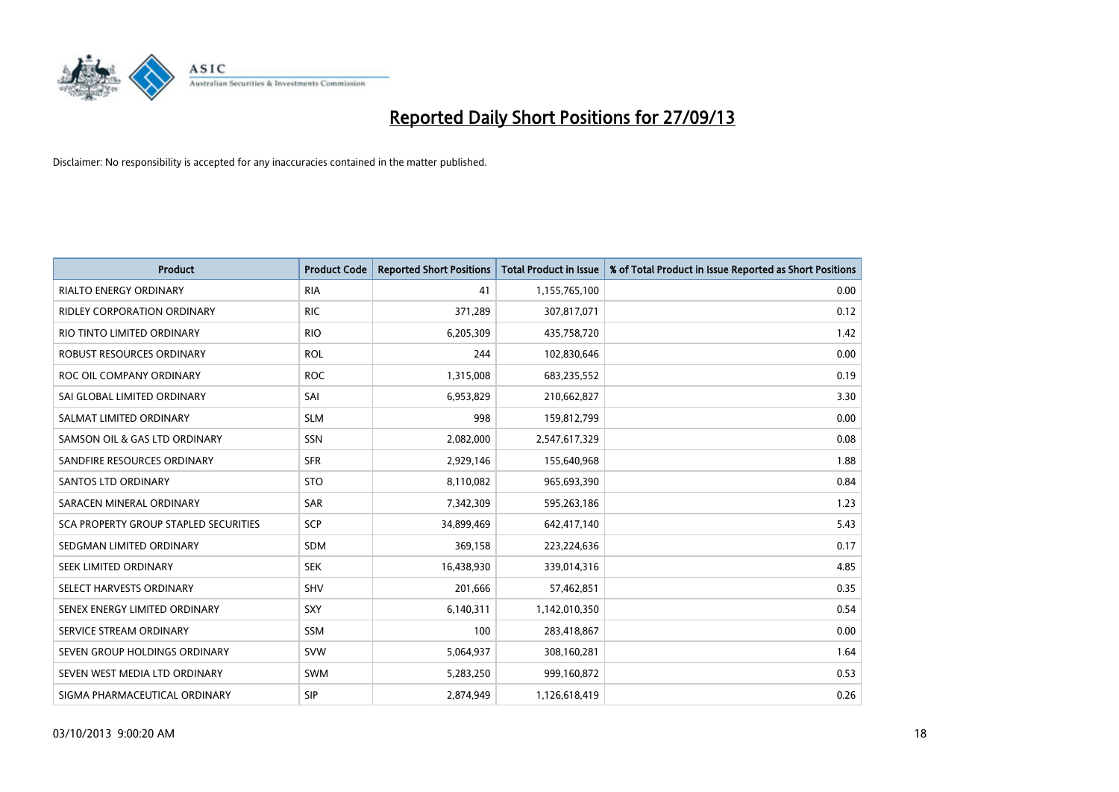

| <b>Product</b>                               | <b>Product Code</b> | <b>Reported Short Positions</b> | <b>Total Product in Issue</b> | % of Total Product in Issue Reported as Short Positions |
|----------------------------------------------|---------------------|---------------------------------|-------------------------------|---------------------------------------------------------|
| <b>RIALTO ENERGY ORDINARY</b>                | <b>RIA</b>          | 41                              | 1,155,765,100                 | 0.00                                                    |
| RIDLEY CORPORATION ORDINARY                  | <b>RIC</b>          | 371,289                         | 307,817,071                   | 0.12                                                    |
| RIO TINTO LIMITED ORDINARY                   | <b>RIO</b>          | 6,205,309                       | 435,758,720                   | 1.42                                                    |
| ROBUST RESOURCES ORDINARY                    | <b>ROL</b>          | 244                             | 102,830,646                   | 0.00                                                    |
| ROC OIL COMPANY ORDINARY                     | <b>ROC</b>          | 1,315,008                       | 683,235,552                   | 0.19                                                    |
| SAI GLOBAL LIMITED ORDINARY                  | SAI                 | 6,953,829                       | 210,662,827                   | 3.30                                                    |
| SALMAT LIMITED ORDINARY                      | <b>SLM</b>          | 998                             | 159,812,799                   | 0.00                                                    |
| SAMSON OIL & GAS LTD ORDINARY                | SSN                 | 2,082,000                       | 2,547,617,329                 | 0.08                                                    |
| SANDFIRE RESOURCES ORDINARY                  | <b>SFR</b>          | 2,929,146                       | 155,640,968                   | 1.88                                                    |
| SANTOS LTD ORDINARY                          | <b>STO</b>          | 8,110,082                       | 965,693,390                   | 0.84                                                    |
| SARACEN MINERAL ORDINARY                     | SAR                 | 7,342,309                       | 595,263,186                   | 1.23                                                    |
| <b>SCA PROPERTY GROUP STAPLED SECURITIES</b> | <b>SCP</b>          | 34,899,469                      | 642,417,140                   | 5.43                                                    |
| SEDGMAN LIMITED ORDINARY                     | <b>SDM</b>          | 369,158                         | 223,224,636                   | 0.17                                                    |
| SEEK LIMITED ORDINARY                        | <b>SEK</b>          | 16,438,930                      | 339,014,316                   | 4.85                                                    |
| SELECT HARVESTS ORDINARY                     | SHV                 | 201,666                         | 57,462,851                    | 0.35                                                    |
| SENEX ENERGY LIMITED ORDINARY                | SXY                 | 6,140,311                       | 1,142,010,350                 | 0.54                                                    |
| SERVICE STREAM ORDINARY                      | SSM                 | 100                             | 283,418,867                   | 0.00                                                    |
| SEVEN GROUP HOLDINGS ORDINARY                | <b>SVW</b>          | 5,064,937                       | 308,160,281                   | 1.64                                                    |
| SEVEN WEST MEDIA LTD ORDINARY                | <b>SWM</b>          | 5,283,250                       | 999,160,872                   | 0.53                                                    |
| SIGMA PHARMACEUTICAL ORDINARY                | <b>SIP</b>          | 2,874,949                       | 1,126,618,419                 | 0.26                                                    |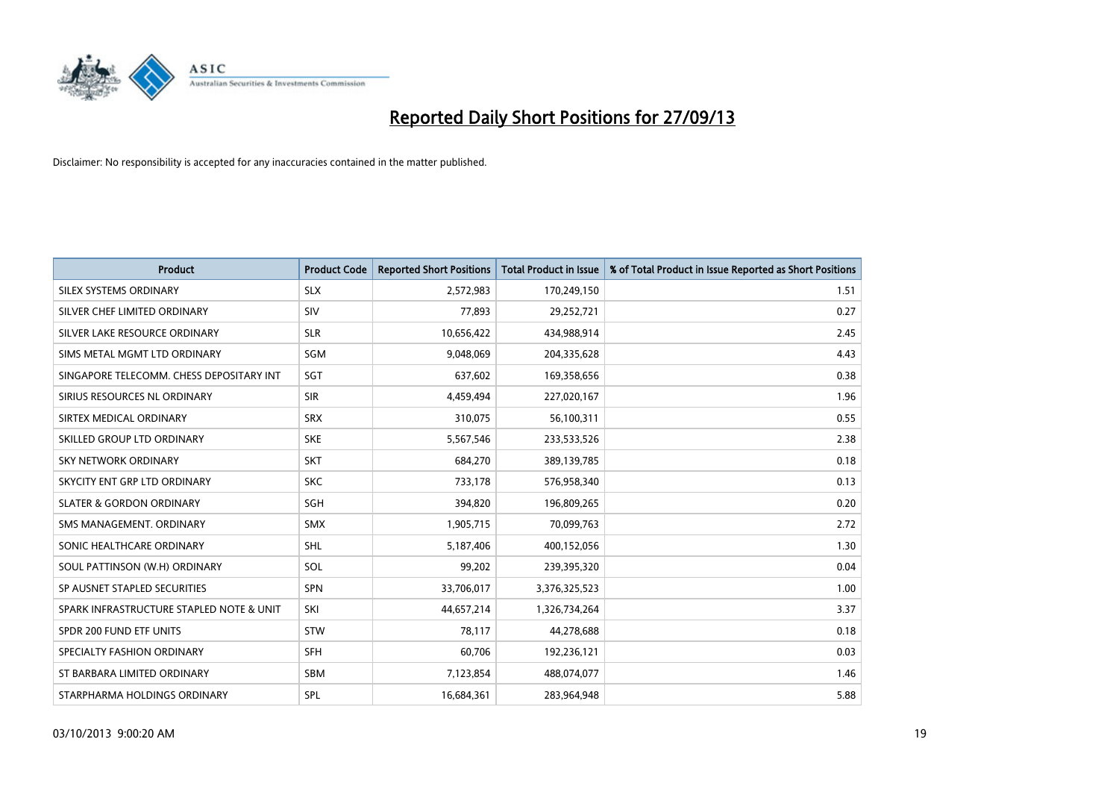

| <b>Product</b>                           | <b>Product Code</b> | <b>Reported Short Positions</b> | <b>Total Product in Issue</b> | % of Total Product in Issue Reported as Short Positions |
|------------------------------------------|---------------------|---------------------------------|-------------------------------|---------------------------------------------------------|
| SILEX SYSTEMS ORDINARY                   | <b>SLX</b>          | 2,572,983                       | 170,249,150                   | 1.51                                                    |
| SILVER CHEF LIMITED ORDINARY             | <b>SIV</b>          | 77,893                          | 29,252,721                    | 0.27                                                    |
| SILVER LAKE RESOURCE ORDINARY            | <b>SLR</b>          | 10,656,422                      | 434,988,914                   | 2.45                                                    |
| SIMS METAL MGMT LTD ORDINARY             | SGM                 | 9,048,069                       | 204,335,628                   | 4.43                                                    |
| SINGAPORE TELECOMM. CHESS DEPOSITARY INT | SGT                 | 637,602                         | 169,358,656                   | 0.38                                                    |
| SIRIUS RESOURCES NL ORDINARY             | <b>SIR</b>          | 4,459,494                       | 227,020,167                   | 1.96                                                    |
| SIRTEX MEDICAL ORDINARY                  | <b>SRX</b>          | 310,075                         | 56,100,311                    | 0.55                                                    |
| SKILLED GROUP LTD ORDINARY               | <b>SKE</b>          | 5,567,546                       | 233,533,526                   | 2.38                                                    |
| <b>SKY NETWORK ORDINARY</b>              | <b>SKT</b>          | 684,270                         | 389,139,785                   | 0.18                                                    |
| SKYCITY ENT GRP LTD ORDINARY             | <b>SKC</b>          | 733,178                         | 576,958,340                   | 0.13                                                    |
| <b>SLATER &amp; GORDON ORDINARY</b>      | SGH                 | 394,820                         | 196,809,265                   | 0.20                                                    |
| SMS MANAGEMENT, ORDINARY                 | <b>SMX</b>          | 1,905,715                       | 70,099,763                    | 2.72                                                    |
| SONIC HEALTHCARE ORDINARY                | <b>SHL</b>          | 5,187,406                       | 400,152,056                   | 1.30                                                    |
| SOUL PATTINSON (W.H) ORDINARY            | SOL                 | 99,202                          | 239,395,320                   | 0.04                                                    |
| SP AUSNET STAPLED SECURITIES             | <b>SPN</b>          | 33,706,017                      | 3,376,325,523                 | 1.00                                                    |
| SPARK INFRASTRUCTURE STAPLED NOTE & UNIT | SKI                 | 44,657,214                      | 1,326,734,264                 | 3.37                                                    |
| SPDR 200 FUND ETF UNITS                  | <b>STW</b>          | 78,117                          | 44,278,688                    | 0.18                                                    |
| SPECIALTY FASHION ORDINARY               | <b>SFH</b>          | 60,706                          | 192,236,121                   | 0.03                                                    |
| ST BARBARA LIMITED ORDINARY              | <b>SBM</b>          | 7,123,854                       | 488,074,077                   | 1.46                                                    |
| STARPHARMA HOLDINGS ORDINARY             | SPL                 | 16,684,361                      | 283,964,948                   | 5.88                                                    |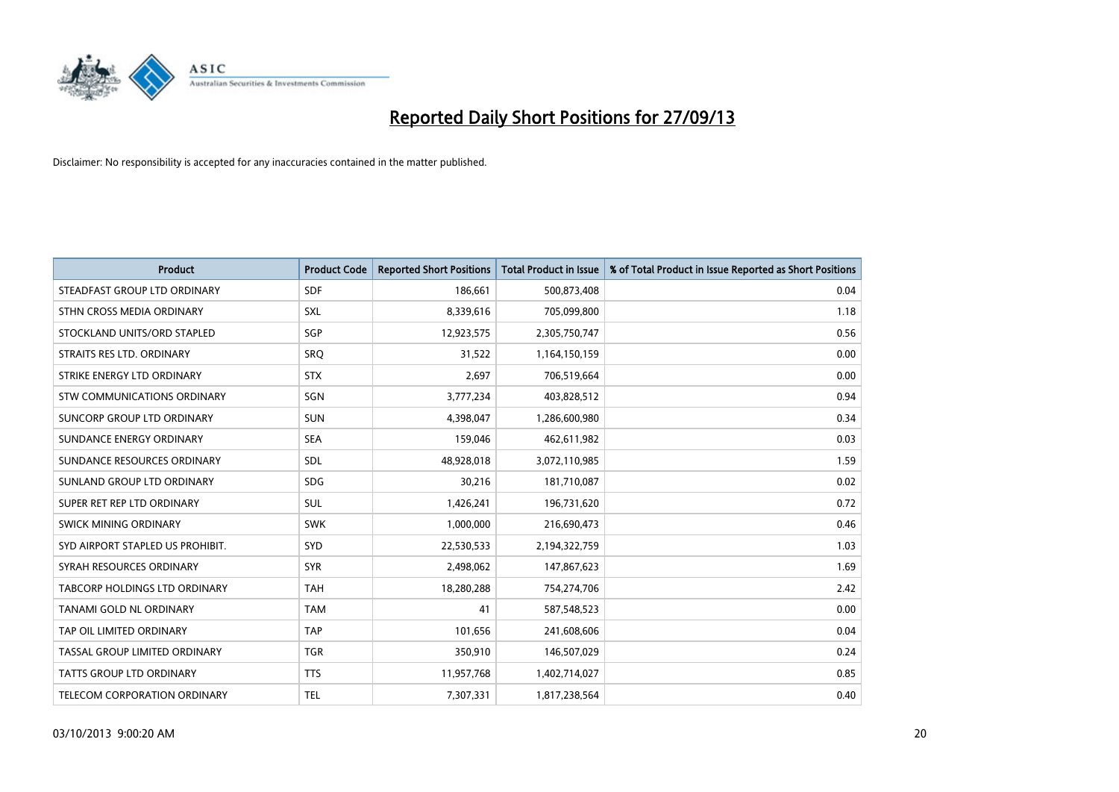

| <b>Product</b>                       | <b>Product Code</b> | <b>Reported Short Positions</b> | <b>Total Product in Issue</b> | % of Total Product in Issue Reported as Short Positions |
|--------------------------------------|---------------------|---------------------------------|-------------------------------|---------------------------------------------------------|
| STEADFAST GROUP LTD ORDINARY         | <b>SDF</b>          | 186,661                         | 500,873,408                   | 0.04                                                    |
| STHN CROSS MEDIA ORDINARY            | <b>SXL</b>          | 8,339,616                       | 705,099,800                   | 1.18                                                    |
| STOCKLAND UNITS/ORD STAPLED          | SGP                 | 12,923,575                      | 2,305,750,747                 | 0.56                                                    |
| STRAITS RES LTD. ORDINARY            | SRO                 | 31,522                          | 1,164,150,159                 | 0.00                                                    |
| STRIKE ENERGY LTD ORDINARY           | <b>STX</b>          | 2,697                           | 706,519,664                   | 0.00                                                    |
| STW COMMUNICATIONS ORDINARY          | SGN                 | 3,777,234                       | 403,828,512                   | 0.94                                                    |
| SUNCORP GROUP LTD ORDINARY           | <b>SUN</b>          | 4,398,047                       | 1,286,600,980                 | 0.34                                                    |
| SUNDANCE ENERGY ORDINARY             | <b>SEA</b>          | 159,046                         | 462,611,982                   | 0.03                                                    |
| SUNDANCE RESOURCES ORDINARY          | <b>SDL</b>          | 48,928,018                      | 3,072,110,985                 | 1.59                                                    |
| SUNLAND GROUP LTD ORDINARY           | <b>SDG</b>          | 30,216                          | 181,710,087                   | 0.02                                                    |
| SUPER RET REP LTD ORDINARY           | <b>SUL</b>          | 1,426,241                       | 196,731,620                   | 0.72                                                    |
| SWICK MINING ORDINARY                | <b>SWK</b>          | 1,000,000                       | 216,690,473                   | 0.46                                                    |
| SYD AIRPORT STAPLED US PROHIBIT.     | <b>SYD</b>          | 22,530,533                      | 2,194,322,759                 | 1.03                                                    |
| SYRAH RESOURCES ORDINARY             | <b>SYR</b>          | 2,498,062                       | 147,867,623                   | 1.69                                                    |
| <b>TABCORP HOLDINGS LTD ORDINARY</b> | <b>TAH</b>          | 18,280,288                      | 754,274,706                   | 2.42                                                    |
| TANAMI GOLD NL ORDINARY              | <b>TAM</b>          | 41                              | 587,548,523                   | 0.00                                                    |
| TAP OIL LIMITED ORDINARY             | <b>TAP</b>          | 101,656                         | 241,608,606                   | 0.04                                                    |
| TASSAL GROUP LIMITED ORDINARY        | <b>TGR</b>          | 350,910                         | 146,507,029                   | 0.24                                                    |
| <b>TATTS GROUP LTD ORDINARY</b>      | <b>TTS</b>          | 11,957,768                      | 1,402,714,027                 | 0.85                                                    |
| <b>TELECOM CORPORATION ORDINARY</b>  | <b>TEL</b>          | 7,307,331                       | 1,817,238,564                 | 0.40                                                    |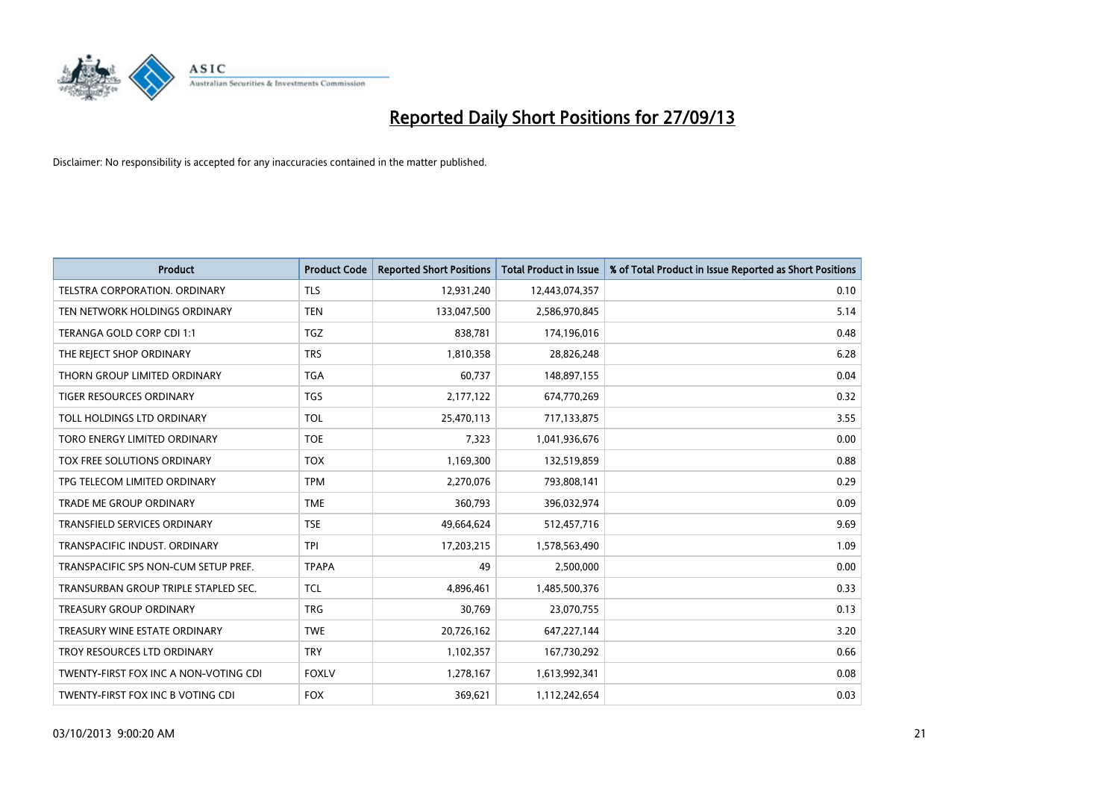

| <b>Product</b>                        | <b>Product Code</b> | <b>Reported Short Positions</b> | <b>Total Product in Issue</b> | % of Total Product in Issue Reported as Short Positions |
|---------------------------------------|---------------------|---------------------------------|-------------------------------|---------------------------------------------------------|
| <b>TELSTRA CORPORATION, ORDINARY</b>  | <b>TLS</b>          | 12,931,240                      | 12,443,074,357                | 0.10                                                    |
| TEN NETWORK HOLDINGS ORDINARY         | <b>TEN</b>          | 133,047,500                     | 2,586,970,845                 | 5.14                                                    |
| TERANGA GOLD CORP CDI 1:1             | <b>TGZ</b>          | 838,781                         | 174,196,016                   | 0.48                                                    |
| THE REJECT SHOP ORDINARY              | <b>TRS</b>          | 1,810,358                       | 28,826,248                    | 6.28                                                    |
| THORN GROUP LIMITED ORDINARY          | <b>TGA</b>          | 60,737                          | 148,897,155                   | 0.04                                                    |
| <b>TIGER RESOURCES ORDINARY</b>       | <b>TGS</b>          | 2,177,122                       | 674,770,269                   | 0.32                                                    |
| TOLL HOLDINGS LTD ORDINARY            | <b>TOL</b>          | 25,470,113                      | 717,133,875                   | 3.55                                                    |
| TORO ENERGY LIMITED ORDINARY          | <b>TOE</b>          | 7,323                           | 1,041,936,676                 | 0.00                                                    |
| TOX FREE SOLUTIONS ORDINARY           | <b>TOX</b>          | 1,169,300                       | 132,519,859                   | 0.88                                                    |
| TPG TELECOM LIMITED ORDINARY          | <b>TPM</b>          | 2,270,076                       | 793,808,141                   | 0.29                                                    |
| TRADE ME GROUP ORDINARY               | <b>TME</b>          | 360,793                         | 396,032,974                   | 0.09                                                    |
| TRANSFIELD SERVICES ORDINARY          | <b>TSE</b>          | 49,664,624                      | 512,457,716                   | 9.69                                                    |
| TRANSPACIFIC INDUST. ORDINARY         | <b>TPI</b>          | 17,203,215                      | 1,578,563,490                 | 1.09                                                    |
| TRANSPACIFIC SPS NON-CUM SETUP PREF.  | <b>TPAPA</b>        | 49                              | 2,500,000                     | 0.00                                                    |
| TRANSURBAN GROUP TRIPLE STAPLED SEC.  | TCL                 | 4,896,461                       | 1,485,500,376                 | 0.33                                                    |
| TREASURY GROUP ORDINARY               | <b>TRG</b>          | 30,769                          | 23,070,755                    | 0.13                                                    |
| TREASURY WINE ESTATE ORDINARY         | <b>TWE</b>          | 20,726,162                      | 647,227,144                   | 3.20                                                    |
| TROY RESOURCES LTD ORDINARY           | <b>TRY</b>          | 1,102,357                       | 167,730,292                   | 0.66                                                    |
| TWENTY-FIRST FOX INC A NON-VOTING CDI | <b>FOXLV</b>        | 1,278,167                       | 1,613,992,341                 | 0.08                                                    |
| TWENTY-FIRST FOX INC B VOTING CDI     | <b>FOX</b>          | 369,621                         | 1,112,242,654                 | 0.03                                                    |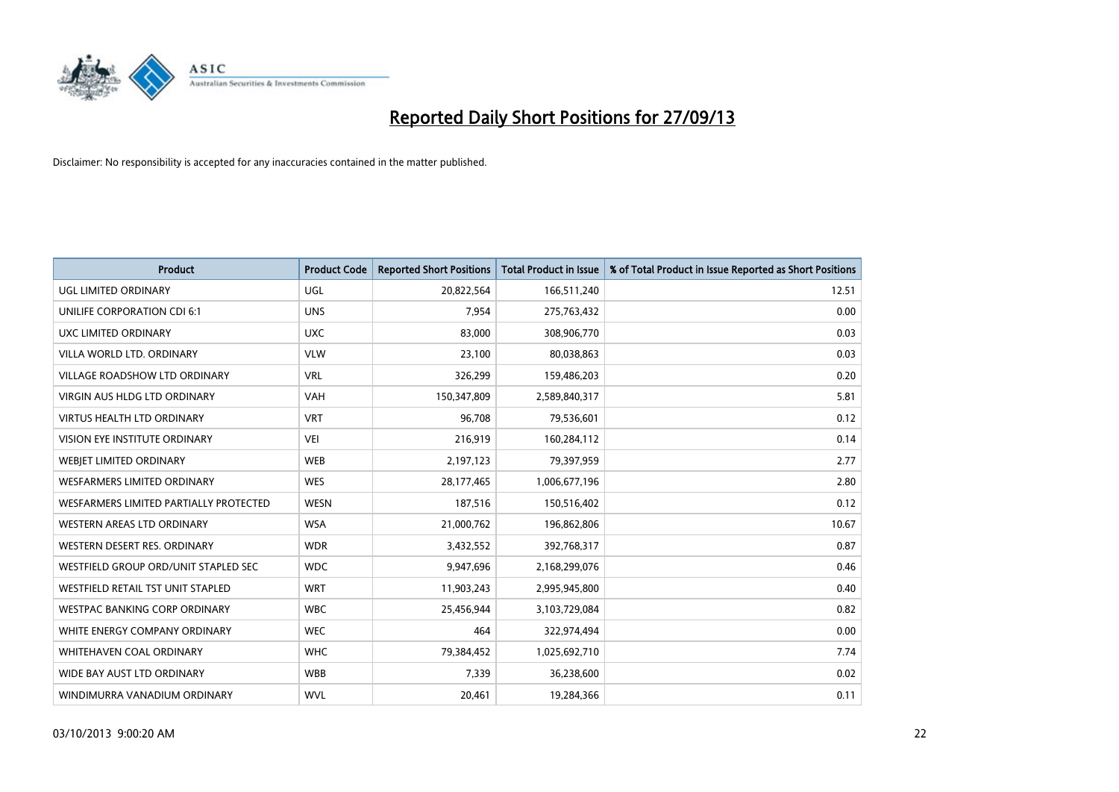

| <b>Product</b>                         | <b>Product Code</b> | <b>Reported Short Positions</b> | <b>Total Product in Issue</b> | % of Total Product in Issue Reported as Short Positions |
|----------------------------------------|---------------------|---------------------------------|-------------------------------|---------------------------------------------------------|
| <b>UGL LIMITED ORDINARY</b>            | UGL                 | 20,822,564                      | 166,511,240                   | 12.51                                                   |
| UNILIFE CORPORATION CDI 6:1            | <b>UNS</b>          | 7,954                           | 275,763,432                   | 0.00                                                    |
| UXC LIMITED ORDINARY                   | <b>UXC</b>          | 83,000                          | 308,906,770                   | 0.03                                                    |
| VILLA WORLD LTD, ORDINARY              | <b>VLW</b>          | 23,100                          | 80,038,863                    | 0.03                                                    |
| <b>VILLAGE ROADSHOW LTD ORDINARY</b>   | <b>VRL</b>          | 326,299                         | 159,486,203                   | 0.20                                                    |
| <b>VIRGIN AUS HLDG LTD ORDINARY</b>    | <b>VAH</b>          | 150,347,809                     | 2,589,840,317                 | 5.81                                                    |
| <b>VIRTUS HEALTH LTD ORDINARY</b>      | <b>VRT</b>          | 96.708                          | 79,536,601                    | 0.12                                                    |
| <b>VISION EYE INSTITUTE ORDINARY</b>   | <b>VEI</b>          | 216,919                         | 160,284,112                   | 0.14                                                    |
| WEBIET LIMITED ORDINARY                | <b>WEB</b>          | 2,197,123                       | 79,397,959                    | 2.77                                                    |
| WESFARMERS LIMITED ORDINARY            | <b>WES</b>          | 28,177,465                      | 1,006,677,196                 | 2.80                                                    |
| WESFARMERS LIMITED PARTIALLY PROTECTED | <b>WESN</b>         | 187,516                         | 150,516,402                   | 0.12                                                    |
| <b>WESTERN AREAS LTD ORDINARY</b>      | <b>WSA</b>          | 21,000,762                      | 196,862,806                   | 10.67                                                   |
| WESTERN DESERT RES. ORDINARY           | <b>WDR</b>          | 3,432,552                       | 392,768,317                   | 0.87                                                    |
| WESTFIELD GROUP ORD/UNIT STAPLED SEC   | <b>WDC</b>          | 9,947,696                       | 2,168,299,076                 | 0.46                                                    |
| WESTFIELD RETAIL TST UNIT STAPLED      | <b>WRT</b>          | 11,903,243                      | 2,995,945,800                 | 0.40                                                    |
| <b>WESTPAC BANKING CORP ORDINARY</b>   | <b>WBC</b>          | 25,456,944                      | 3,103,729,084                 | 0.82                                                    |
| WHITE ENERGY COMPANY ORDINARY          | <b>WEC</b>          | 464                             | 322,974,494                   | 0.00                                                    |
| WHITEHAVEN COAL ORDINARY               | <b>WHC</b>          | 79,384,452                      | 1,025,692,710                 | 7.74                                                    |
| WIDE BAY AUST LTD ORDINARY             | <b>WBB</b>          | 7,339                           | 36,238,600                    | 0.02                                                    |
| WINDIMURRA VANADIUM ORDINARY           | <b>WVL</b>          | 20,461                          | 19,284,366                    | 0.11                                                    |